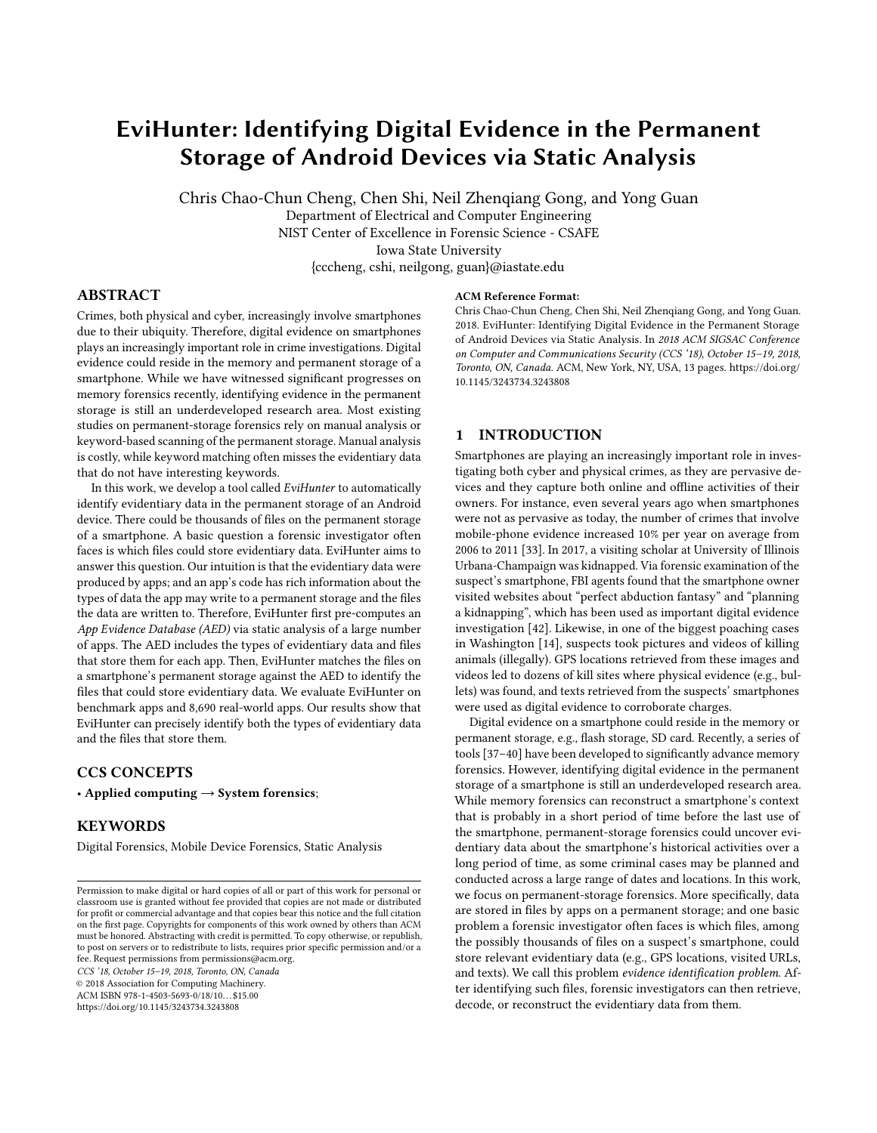# EviHunter: Identifying Digital Evidence in the Permanent Storage of Android Devices via Static Analysis

Chris Chao-Chun Cheng, Chen Shi, Neil Zhenqiang Gong, and Yong Guan Department of Electrical and Computer Engineering NIST Center of Excellence in Forensic Science - CSAFE Iowa State University {cccheng, cshi, neilgong, guan}@iastate.edu

## ABSTRACT

Crimes, both physical and cyber, increasingly involve smartphones due to their ubiquity. Therefore, digital evidence on smartphones plays an increasingly important role in crime investigations. Digital evidence could reside in the memory and permanent storage of a smartphone. While we have witnessed significant progresses on memory forensics recently, identifying evidence in the permanent storage is still an underdeveloped research area. Most existing studies on permanent-storage forensics rely on manual analysis or keyword-based scanning of the permanent storage. Manual analysis is costly, while keyword matching often misses the evidentiary data that do not have interesting keywords.

In this work, we develop a tool called EviHunter to automatically identify evidentiary data in the permanent storage of an Android device. There could be thousands of files on the permanent storage of a smartphone. A basic question a forensic investigator often faces is which files could store evidentiary data. EviHunter aims to answer this question. Our intuition is that the evidentiary data were produced by apps; and an app's code has rich information about the types of data the app may write to a permanent storage and the files the data are written to. Therefore, EviHunter first pre-computes an App Evidence Database (AED) via static analysis of a large number of apps. The AED includes the types of evidentiary data and files that store them for each app. Then, EviHunter matches the files on a smartphone's permanent storage against the AED to identify the files that could store evidentiary data. We evaluate EviHunter on benchmark apps and 8,690 real-world apps. Our results show that EviHunter can precisely identify both the types of evidentiary data and the files that store them.

## CCS CONCEPTS

• Applied computing  $\rightarrow$  System forensics;

#### KEYWORDS

Digital Forensics, Mobile Device Forensics, Static Analysis

CCS '18, October 15–19, 2018, Toronto, ON, Canada

© 2018 Association for Computing Machinery.

ACM ISBN 978-1-4503-5693-0/18/10. . . \$15.00 <https://doi.org/10.1145/3243734.3243808>

#### ACM Reference Format:

Chris Chao-Chun Cheng, Chen Shi, Neil Zhenqiang Gong, and Yong Guan. 2018. EviHunter: Identifying Digital Evidence in the Permanent Storage of Android Devices via Static Analysis. In 2018 ACM SIGSAC Conference on Computer and Communications Security (CCS '18), October 15–19, 2018, Toronto, ON, Canada. ACM, New York, NY, USA, [13](#page-12-0) pages. [https://doi.org/](https://doi.org/10.1145/3243734.3243808) [10.1145/3243734.3243808](https://doi.org/10.1145/3243734.3243808)

## 1 INTRODUCTION

Smartphones are playing an increasingly important role in investigating both cyber and physical crimes, as they are pervasive devices and they capture both online and offline activities of their owners. For instance, even several years ago when smartphones were not as pervasive as today, the number of crimes that involve mobile-phone evidence increased 10% per year on average from 2006 to 2011 [\[33\]](#page-12-1). In 2017, a visiting scholar at University of Illinois Urbana-Champaign was kidnapped. Via forensic examination of the suspect's smartphone, FBI agents found that the smartphone owner visited websites about "perfect abduction fantasy" and "planning a kidnapping", which has been used as important digital evidence investigation [\[42\]](#page-12-2). Likewise, in one of the biggest poaching cases in Washington [\[14\]](#page-12-3), suspects took pictures and videos of killing animals (illegally). GPS locations retrieved from these images and videos led to dozens of kill sites where physical evidence (e.g., bullets) was found, and texts retrieved from the suspects' smartphones were used as digital evidence to corroborate charges.

Digital evidence on a smartphone could reside in the memory or permanent storage, e.g., flash storage, SD card. Recently, a series of tools [\[37–](#page-12-4)[40\]](#page-12-5) have been developed to significantly advance memory forensics. However, identifying digital evidence in the permanent storage of a smartphone is still an underdeveloped research area. While memory forensics can reconstruct a smartphone's context that is probably in a short period of time before the last use of the smartphone, permanent-storage forensics could uncover evidentiary data about the smartphone's historical activities over a long period of time, as some criminal cases may be planned and conducted across a large range of dates and locations. In this work, we focus on permanent-storage forensics. More specifically, data are stored in files by apps on a permanent storage; and one basic problem a forensic investigator often faces is which files, among the possibly thousands of files on a suspect's smartphone, could store relevant evidentiary data (e.g., GPS locations, visited URLs, and texts). We call this problem evidence identification problem. After identifying such files, forensic investigators can then retrieve, decode, or reconstruct the evidentiary data from them.

Permission to make digital or hard copies of all or part of this work for personal or classroom use is granted without fee provided that copies are not made or distributed for profit or commercial advantage and that copies bear this notice and the full citation on the first page. Copyrights for components of this work owned by others than ACM must be honored. Abstracting with credit is permitted. To copy otherwise, or republish, to post on servers or to redistribute to lists, requires prior specific permission and/or a fee. Request permissions from permissions@acm.org.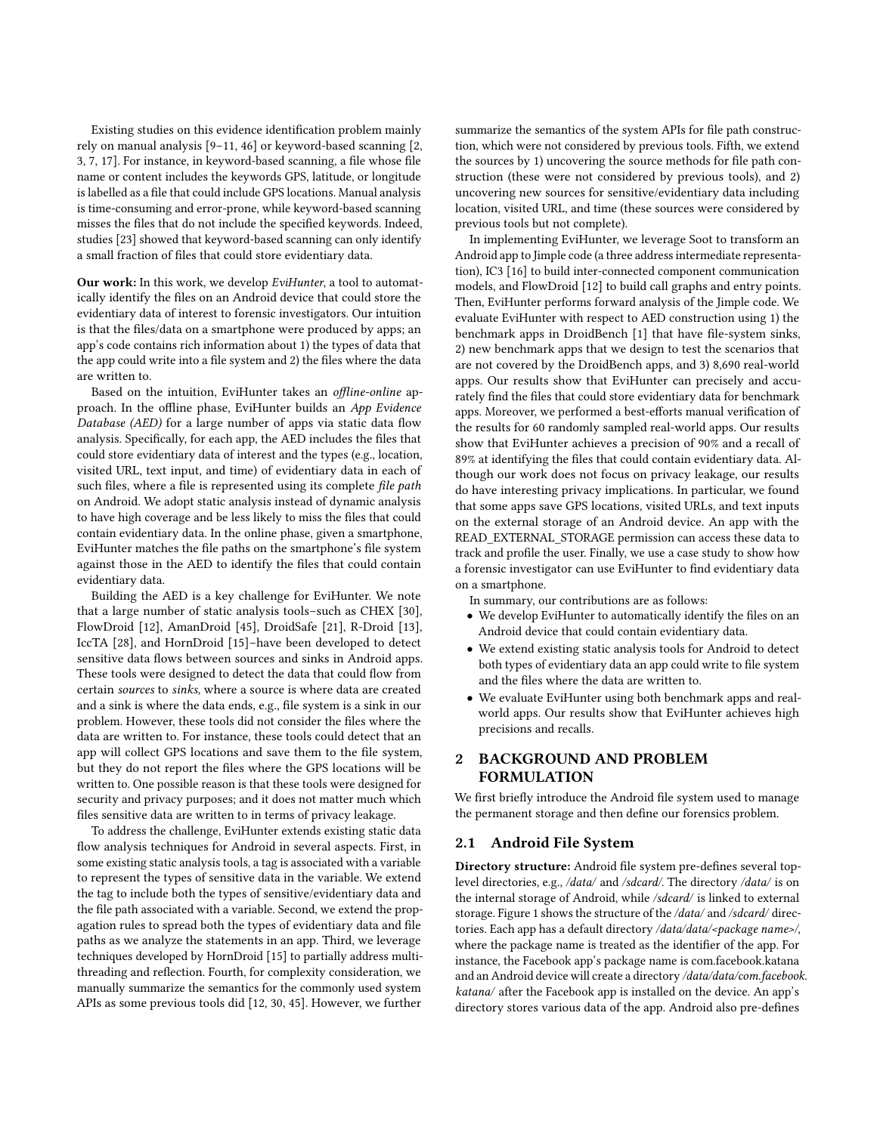Existing studies on this evidence identification problem mainly rely on manual analysis [\[9–](#page-11-0)[11,](#page-11-1) [46\]](#page-12-6) or keyword-based scanning [\[2,](#page-11-2) [3,](#page-11-3) [7,](#page-11-4) [17\]](#page-12-7). For instance, in keyword-based scanning, a file whose file name or content includes the keywords GPS, latitude, or longitude is labelled as a file that could include GPS locations. Manual analysis is time-consuming and error-prone, while keyword-based scanning misses the files that do not include the specified keywords. Indeed, studies [\[23\]](#page-12-8) showed that keyword-based scanning can only identify a small fraction of files that could store evidentiary data.

Our work: In this work, we develop EviHunter, a tool to automatically identify the files on an Android device that could store the evidentiary data of interest to forensic investigators. Our intuition is that the files/data on a smartphone were produced by apps; an app's code contains rich information about 1) the types of data that the app could write into a file system and 2) the files where the data are written to.

Based on the intuition, EviHunter takes an offline-online approach. In the offline phase, EviHunter builds an App Evidence Database (AED) for a large number of apps via static data flow analysis. Specifically, for each app, the AED includes the files that could store evidentiary data of interest and the types (e.g., location, visited URL, text input, and time) of evidentiary data in each of such files, where a file is represented using its complete file path on Android. We adopt static analysis instead of dynamic analysis to have high coverage and be less likely to miss the files that could contain evidentiary data. In the online phase, given a smartphone, EviHunter matches the file paths on the smartphone's file system against those in the AED to identify the files that could contain evidentiary data.

Building the AED is a key challenge for EviHunter. We note that a large number of static analysis tools–such as CHEX [\[30\]](#page-12-9), FlowDroid [\[12\]](#page-11-5), AmanDroid [\[45\]](#page-12-10), DroidSafe [\[21\]](#page-12-11), R-Droid [\[13\]](#page-12-12), IccTA [\[28\]](#page-12-13), and HornDroid [\[15\]](#page-12-14)–have been developed to detect sensitive data flows between sources and sinks in Android apps. These tools were designed to detect the data that could flow from certain sources to sinks, where a source is where data are created and a sink is where the data ends, e.g., file system is a sink in our problem. However, these tools did not consider the files where the data are written to. For instance, these tools could detect that an app will collect GPS locations and save them to the file system, but they do not report the files where the GPS locations will be written to. One possible reason is that these tools were designed for security and privacy purposes; and it does not matter much which files sensitive data are written to in terms of privacy leakage.

To address the challenge, EviHunter extends existing static data flow analysis techniques for Android in several aspects. First, in some existing static analysis tools, a tag is associated with a variable to represent the types of sensitive data in the variable. We extend the tag to include both the types of sensitive/evidentiary data and the file path associated with a variable. Second, we extend the propagation rules to spread both the types of evidentiary data and file paths as we analyze the statements in an app. Third, we leverage techniques developed by HornDroid [\[15\]](#page-12-14) to partially address multithreading and reflection. Fourth, for complexity consideration, we manually summarize the semantics for the commonly used system APIs as some previous tools did [\[12,](#page-11-5) [30,](#page-12-9) [45\]](#page-12-10). However, we further

summarize the semantics of the system APIs for file path construction, which were not considered by previous tools. Fifth, we extend the sources by 1) uncovering the source methods for file path construction (these were not considered by previous tools), and 2) uncovering new sources for sensitive/evidentiary data including location, visited URL, and time (these sources were considered by previous tools but not complete).

In implementing EviHunter, we leverage Soot to transform an Android app to Jimple code (a three address intermediate representation), IC3 [\[16\]](#page-12-15) to build inter-connected component communication models, and FlowDroid [\[12\]](#page-11-5) to build call graphs and entry points. Then, EviHunter performs forward analysis of the Jimple code. We evaluate EviHunter with respect to AED construction using 1) the benchmark apps in DroidBench [\[1\]](#page-11-6) that have file-system sinks, 2) new benchmark apps that we design to test the scenarios that are not covered by the DroidBench apps, and 3) 8,690 real-world apps. Our results show that EviHunter can precisely and accurately find the files that could store evidentiary data for benchmark apps. Moreover, we performed a best-efforts manual verification of the results for 60 randomly sampled real-world apps. Our results show that EviHunter achieves a precision of 90% and a recall of 89% at identifying the files that could contain evidentiary data. Although our work does not focus on privacy leakage, our results do have interesting privacy implications. In particular, we found that some apps save GPS locations, visited URLs, and text inputs on the external storage of an Android device. An app with the READ\_EXTERNAL\_STORAGE permission can access these data to track and profile the user. Finally, we use a case study to show how a forensic investigator can use EviHunter to find evidentiary data on a smartphone.

In summary, our contributions are as follows:

- We develop EviHunter to automatically identify the files on an Android device that could contain evidentiary data.
- We extend existing static analysis tools for Android to detect both types of evidentiary data an app could write to file system and the files where the data are written to.
- We evaluate EviHunter using both benchmark apps and realworld apps. Our results show that EviHunter achieves high precisions and recalls.

## 2 BACKGROUND AND PROBLEM FORMULATION

We first briefly introduce the Android file system used to manage the permanent storage and then define our forensics problem.

## <span id="page-1-0"></span>2.1 Android File System

Directory structure: Android file system pre-defines several toplevel directories, e.g., /data/ and /sdcard/. The directory /data/ is on the internal storage of Android, while /sdcard/ is linked to external storage. Figure [1](#page-2-0) shows the structure of the /data/ and /sdcard/ directories. Each app has a default directory /data/data/<package name>/, where the package name is treated as the identifier of the app. For instance, the Facebook app's package name is com.facebook.katana and an Android device will create a directory /data/data/com.facebook. katana/ after the Facebook app is installed on the device. An app's directory stores various data of the app. Android also pre-defines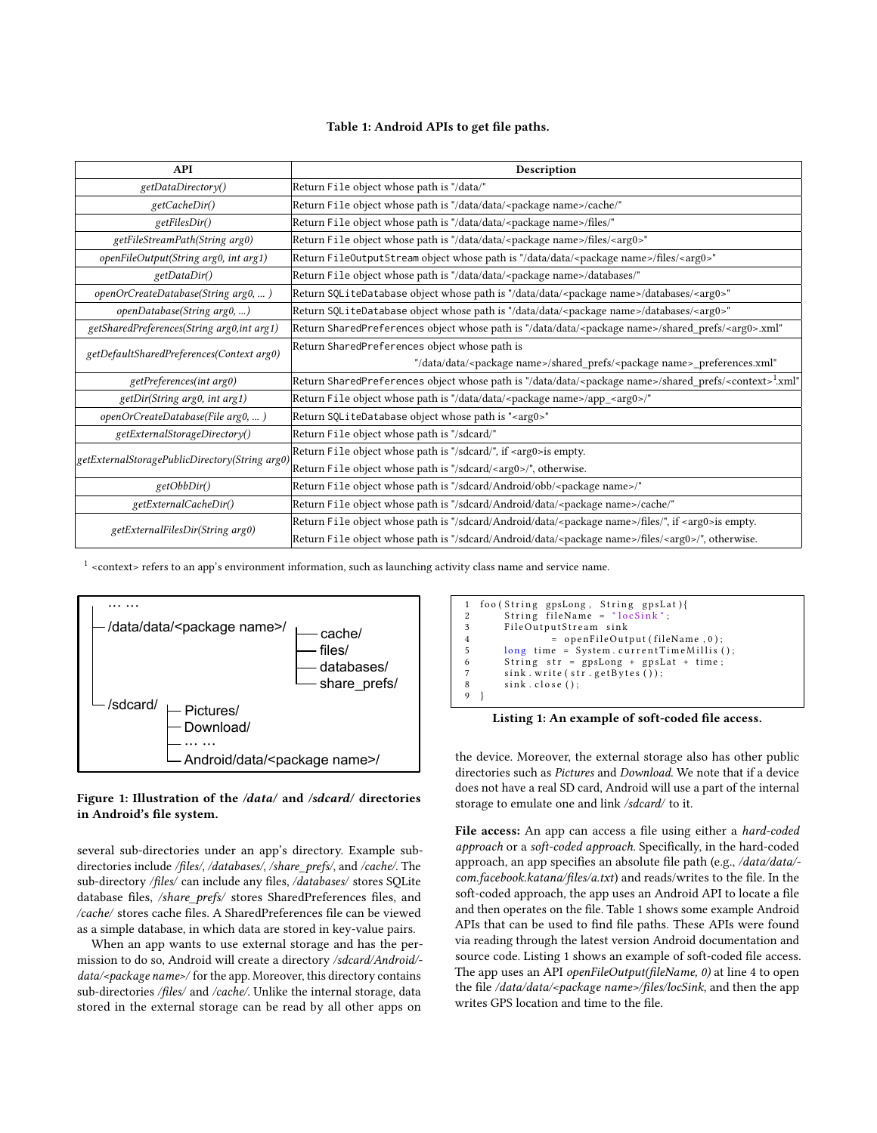#### Table 1: Android APIs to get file paths.

<span id="page-2-1"></span>

| <b>API</b>                                     | Description                                                                                                                  |
|------------------------------------------------|------------------------------------------------------------------------------------------------------------------------------|
| getDataDirectory()                             | Return File object whose path is "/data/"                                                                                    |
| getCacheDir()                                  | Return File object whose path is "/data/data/ <package name="">/cache/"</package>                                            |
| getFilesDir()                                  | Return File object whose path is "/data/data/ <package name="">/files/"</package>                                            |
| getFileStreamPath(String arg0)                 | Return File object whose path is "/data/data/ <package name="">/files/<arg0>"</arg0></package>                               |
| openFileOutput(String arg0, int arg1)          | Return FileOutputStream object whose path is "/data/data/ <package name="">/files/<arg0>"</arg0></package>                   |
| getDataDir()                                   | Return File object whose path is "/data/data/ <package name="">/databases/"</package>                                        |
| openOrCreateDatabase(String arg0, )            | Return SQLiteDatabase object whose path is "/data/data/ <package name="">/databases/<arg0>"</arg0></package>                 |
| openDatabase(String arg0, )                    | Return SQLiteDatabase object whose path is "/data/data/ <package name="">/databases/<arg0>"</arg0></package>                 |
| getSharedPreferences(String arg0,int arg1)     | Return SharedPreferences object whose path is "/data/data/ <package name="">/shared_prefs/<arg0>.xml"</arg0></package>       |
| getDefaultSharedPreferences(Context arg0)      | Return SharedPreferences object whose path is                                                                                |
|                                                | "/data/data/ <package name="">/shared_prefs/<package name="">_preferences.xml"</package></package>                           |
| getPreferences(int arg0)                       | Return SharedPreferences object whose path is "/data/data/ <package name="">/shared_prefs/<context>1xml"</context></package> |
| getDir(String arg0, int arg1)                  | Return File object whose path is "/data/data/ <package name="">/app_<arg0>/"</arg0></package>                                |
| openOrCreateDatabase(File arg0, )              | Return SQLiteDatabase object whose path is " <arg0>"</arg0>                                                                  |
| getExternalStorageDirectory()                  | Return File object whose path is "/sdcard/"                                                                                  |
| getExternalStoragePublicDirectory(String arg0) | Return File object whose path is "/sdcard/", if <arg0>is empty.</arg0>                                                       |
|                                                | Return File object whose path is "/sdcard/ <arg0>/", otherwise.</arg0>                                                       |
| getObbDir()                                    | Return File object whose path is "/sdcard/Android/obb/ <package name="">/"</package>                                         |
| getExternalCacheDir()                          | Return File object whose path is "/sdcard/Android/data/ <package name="">/cache/"</package>                                  |
| getExternalFilesDir(String arg0)               | Return File object whose path is "/sdcard/Android/data/ <package name="">/files/", if <arg0>is empty.</arg0></package>       |
|                                                | Return File object whose path is "/sdcard/Android/data/ <package name="">/files/<arg0>/", otherwise.</arg0></package>        |

 $^{\rm 1}$  <context> refers to an app's environment information, such as launching activity class name and service name.

<span id="page-2-0"></span>

#### Figure 1: Illustration of the /data/ and /sdcard/ directories in Android's file system.

several sub-directories under an app's directory. Example subdirectories include /files/, /databases/, /share\_prefs/, and /cache/. The sub-directory /files/ can include any files, /databases/ stores SQLite database files, /share\_prefs/ stores SharedPreferences files, and /cache/ stores cache files. A SharedPreferences file can be viewed as a simple database, in which data are stored in key-value pairs.

When an app wants to use external storage and has the permission to do so, Android will create a directory /sdcard/Android/ data/<package name>/ for the app. Moreover, this directory contains sub-directories /files/ and /cache/. Unlike the internal storage, data stored in the external storage can be read by all other apps on

```
1 foo (String gpsLong, String gpsLat){<br>2 String fileName = "locSink";
3 FileOutputStream sink<br>4 = openFileOut
4 = openFileOutput (fileName, 0);<br>5 \log time = System.currentTimeMillis (
          long time = System . current Time Millis ();
6 String str = gpsLong + gpsLat + time;<br>7 sink write(str. getBytes()):
          \sin k. write (\sin k et Bytes ());
8 sink. close ():
9 }
```
Listing 1: An example of soft-coded file access.

the device. Moreover, the external storage also has other public directories such as Pictures and Download. We note that if a device does not have a real SD card, Android will use a part of the internal storage to emulate one and link /sdcard/ to it.

File access: An app can access a file using either a *hard-coded* approach or a soft-coded approach. Specifically, in the hard-coded approach, an app specifies an absolute file path (e.g., /data/data/ com.facebook.katana/files/a.txt) and reads/writes to the file. In the soft-coded approach, the app uses an Android API to locate a file and then operates on the file. Table [1](#page-2-1) shows some example Android APIs that can be used to find file paths. These APIs were found via reading through the latest version Android documentation and source code. Listing [1](#page-2-2) shows an example of soft-coded file access. The app uses an API openFileOutput(fileName, 0) at line 4 to open the file /data/data/<package name>/files/locSink, and then the app writes GPS location and time to the file.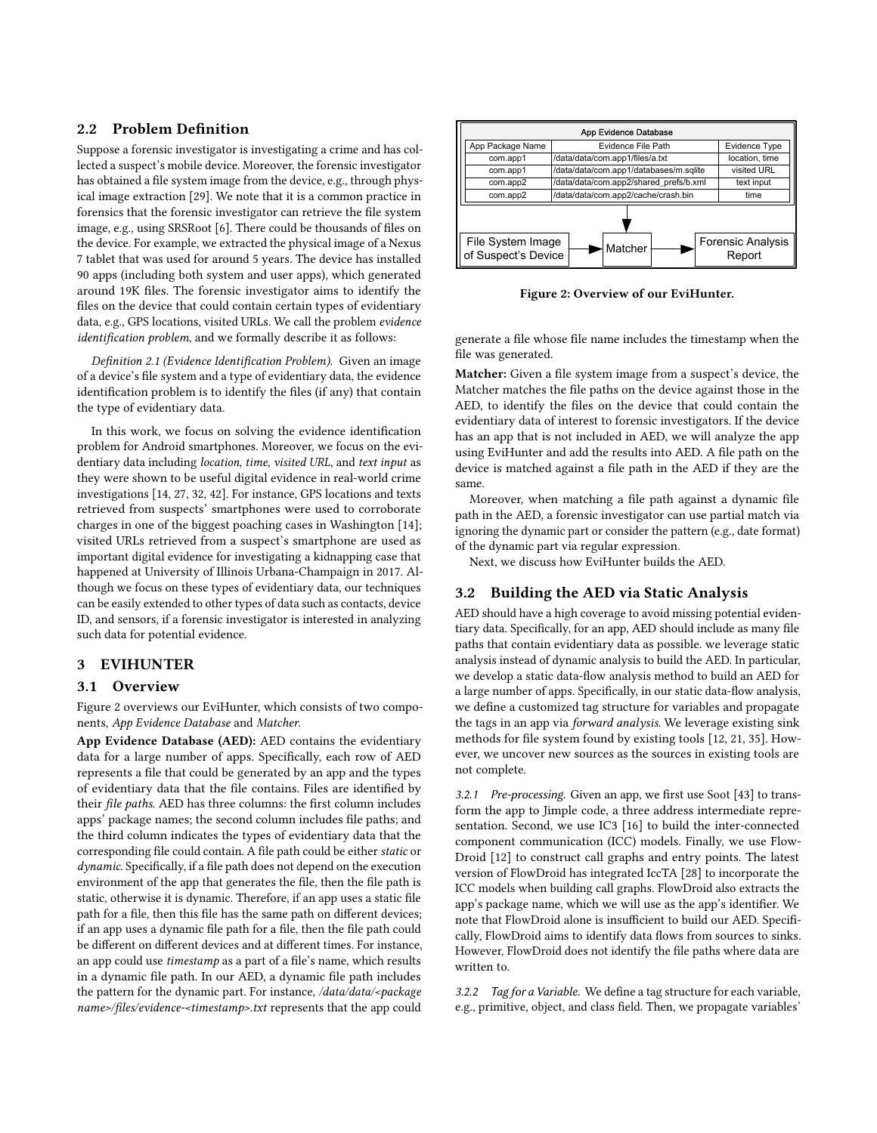## 2.2 Problem Definition

Suppose a forensic investigator is investigating a crime and has collected a suspect's mobile device. Moreover, the forensic investigator has obtained a file system image from the device, e.g., through physical image extraction [\[29\]](#page-12-16). We note that it is a common practice in forensics that the forensic investigator can retrieve the file system image, e.g., using SRSRoot [\[6\]](#page-11-7). There could be thousands of files on the device. For example, we extracted the physical image of a Nexus 7 tablet that was used for around 5 years. The device has installed 90 apps (including both system and user apps), which generated around 19K files. The forensic investigator aims to identify the files on the device that could contain certain types of evidentiary data, e.g., GPS locations, visited URLs. We call the problem evidence identification problem, and we formally describe it as follows:

Definition 2.1 (Evidence Identification Problem). Given an image of a device's file system and a type of evidentiary data, the evidence identification problem is to identify the files (if any) that contain the type of evidentiary data.

In this work, we focus on solving the evidence identification problem for Android smartphones. Moreover, we focus on the evidentiary data including location, time, visited URL, and text input as they were shown to be useful digital evidence in real-world crime investigations [\[14,](#page-12-3) [27,](#page-12-17) [32,](#page-12-18) [42\]](#page-12-2). For instance, GPS locations and texts retrieved from suspects' smartphones were used to corroborate charges in one of the biggest poaching cases in Washington [\[14\]](#page-12-3); visited URLs retrieved from a suspect's smartphone are used as important digital evidence for investigating a kidnapping case that happened at University of Illinois Urbana-Champaign in 2017. Although we focus on these types of evidentiary data, our techniques can be easily extended to other types of data such as contacts, device ID, and sensors, if a forensic investigator is interested in analyzing such data for potential evidence.

#### 3 EVIHUNTER

#### 3.1 Overview

Figure [2](#page-3-0) overviews our EviHunter, which consists of two components, App Evidence Database and Matcher.

App Evidence Database (AED): AED contains the evidentiary data for a large number of apps. Specifically, each row of AED represents a file that could be generated by an app and the types of evidentiary data that the file contains. Files are identified by their file paths. AED has three columns: the first column includes apps' package names; the second column includes file paths; and the third column indicates the types of evidentiary data that the corresponding file could contain. A file path could be either static or dynamic. Specifically, if a file path does not depend on the execution environment of the app that generates the file, then the file path is static, otherwise it is dynamic. Therefore, if an app uses a static file path for a file, then this file has the same path on different devices; if an app uses a dynamic file path for a file, then the file path could be different on different devices and at different times. For instance, an app could use timestamp as a part of a file's name, which results in a dynamic file path. In our AED, a dynamic file path includes the pattern for the dynamic part. For instance, /data/data/<package name>/files/evidence-<timestamp>.txt represents that the app could

<span id="page-3-0"></span>

Figure 2: Overview of our EviHunter.

generate a file whose file name includes the timestamp when the file was generated.

Matcher: Given a file system image from a suspect's device, the Matcher matches the file paths on the device against those in the AED, to identify the files on the device that could contain the evidentiary data of interest to forensic investigators. If the device has an app that is not included in AED, we will analyze the app using EviHunter and add the results into AED. A file path on the device is matched against a file path in the AED if they are the same.

Moreover, when matching a file path against a dynamic file path in the AED, a forensic investigator can use partial match via ignoring the dynamic part or consider the pattern (e.g., date format) of the dynamic part via regular expression.

Next, we discuss how EviHunter builds the AED.

#### 3.2 Building the AED via Static Analysis

AED should have a high coverage to avoid missing potential evidentiary data. Specifically, for an app, AED should include as many file paths that contain evidentiary data as possible. we leverage static analysis instead of dynamic analysis to build the AED. In particular, we develop a static data-flow analysis method to build an AED for a large number of apps. Specifically, in our static data-flow analysis, we define a customized tag structure for variables and propagate the tags in an app via forward analysis. We leverage existing sink methods for file system found by existing tools [\[12,](#page-11-5) [21,](#page-12-11) [35\]](#page-12-19). However, we uncover new sources as the sources in existing tools are not complete.

3.2.1 Pre-processing. Given an app, we first use Soot [\[43\]](#page-12-20) to transform the app to Jimple code, a three address intermediate representation. Second, we use IC3 [\[16\]](#page-12-15) to build the inter-connected component communication (ICC) models. Finally, we use Flow-Droid [\[12\]](#page-11-5) to construct call graphs and entry points. The latest version of FlowDroid has integrated IccTA [\[28\]](#page-12-13) to incorporate the ICC models when building call graphs. FlowDroid also extracts the app's package name, which we will use as the app's identifier. We note that FlowDroid alone is insufficient to build our AED. Specifically, FlowDroid aims to identify data flows from sources to sinks. However, FlowDroid does not identify the file paths where data are written to.

3.2.2 Tag for a Variable. We define a tag structure for each variable, e.g., primitive, object, and class field. Then, we propagate variables'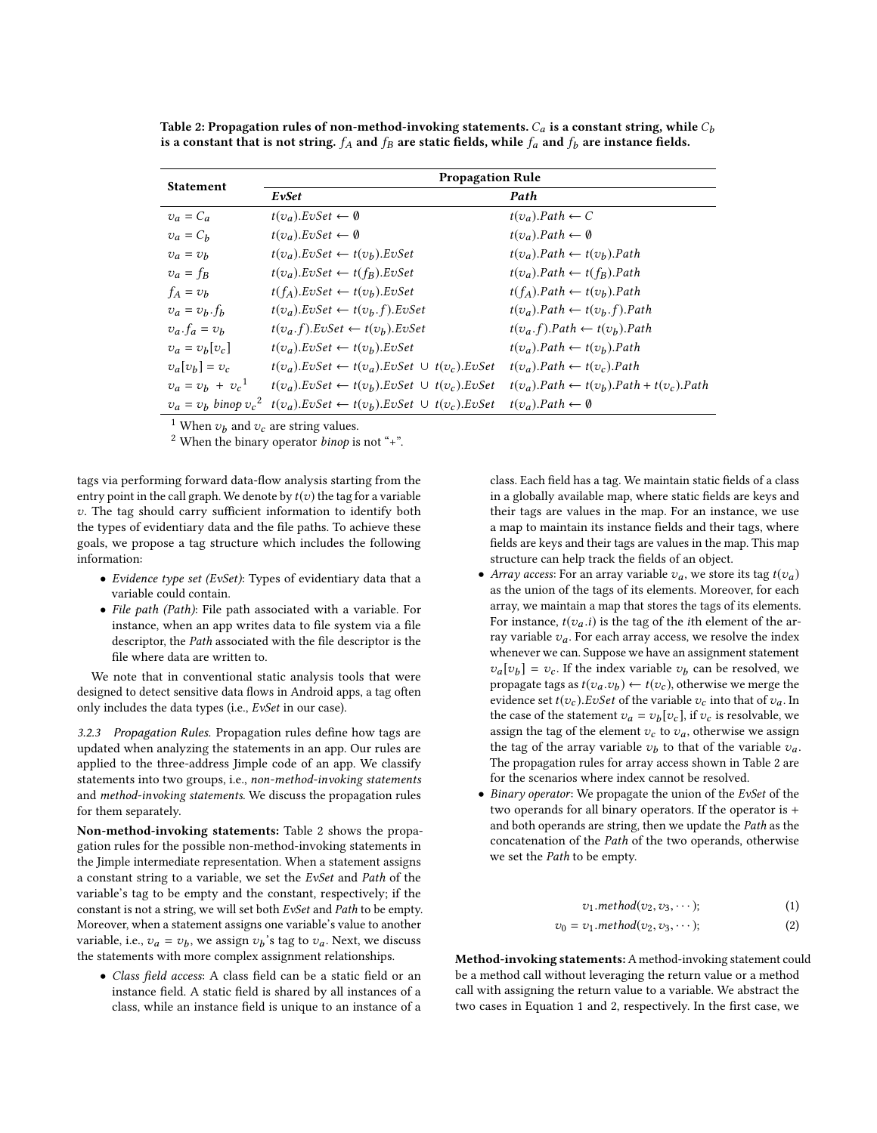| <b>Statement</b>          | <b>Propagation Rule</b>                                            |                                                    |  |  |
|---------------------------|--------------------------------------------------------------------|----------------------------------------------------|--|--|
|                           | EvSet                                                              | Path                                               |  |  |
| $v_a = C_a$               | $t(v_a)$ . EvSet $\leftarrow \emptyset$                            | $t(v_a)$ . Path $\leftarrow$ C                     |  |  |
| $v_a = C_h$               | $t(v_a)$ . EvSet $\leftarrow \emptyset$                            | $t(v_a).Path \leftarrow \emptyset$                 |  |  |
| $v_a = v_b$               | $t(v_a). EvSet \leftarrow t(v_b). EvSet$                           | $t(v_a)$ . Path $\leftarrow t(v_b)$ . Path         |  |  |
| $v_a = f_B$               | $t(v_a)$ . EvSet $\leftarrow t(f_B)$ . EvSet                       | $t(v_a)$ . Path $\leftarrow t(f_B)$ . Path         |  |  |
| $f_A = v_b$               | $t(f_A). E vSet \leftarrow t(v_b). E vSet$                         | $t(f_A).Path \leftarrow t(v_b).Path$               |  |  |
| $v_a = v_b \cdot f_b$     | $t(v_a). E vSet \leftarrow t(v_b.f). E vSet$                       | $t(v_a).Path \leftarrow t(v_b.f).Path$             |  |  |
| $v_a$ . $f_a = v_b$       | $t(v_a.f). E vSet \leftarrow t(v_b). E vSet$                       | $t(v_a. f).Path \leftarrow t(v_b).Path$            |  |  |
| $v_a = v_b[v_c]$          | $t(v_a)$ . EvSet $\leftarrow t(v_b)$ . EvSet                       | $t(v_a)$ . Path $\leftarrow t(v_h)$ . Path         |  |  |
| $v_a[v_b] = v_c$          | $t(v_a). EvSet \leftarrow t(v_a). EvSet \cup t(v_c). EvSet$        | $t(v_a)$ . Path $\leftarrow t(v_c)$ . Path         |  |  |
| $v_a = v_b + v_c^1$       | $t(v_a)$ . EvSet $\leftarrow t(v_b)$ . EvSet $\cup t(v_c)$ . EvSet | $t(v_a).Path \leftarrow t(v_b).Path + t(v_c).Path$ |  |  |
| $v_a = v_b$ binop $v_c^2$ | $t(v_a)$ . EvSet $\leftarrow t(v_b)$ . EvSet $\cup t(v_c)$ . EvSet | $t(v_a)$ . Path $\leftarrow \emptyset$             |  |  |
|                           |                                                                    |                                                    |  |  |

<span id="page-4-0"></span>Table 2: Propagation rules of non-method-invoking statements.  $C_a$  is a constant string, while  $C_b$ is a constant that is not string.  $f_A$  and  $f_B$  are static fields, while  $f_a$  and  $f_b$  are instance fields.

<sup>1</sup> When  $v_b$  and  $v_c$  are string values.<br><sup>2</sup> When the binary operator *binot* is

 $2$  When the binary operator *binop* is not "+".

tags via performing forward data-flow analysis starting from the entry point in the call graph. We denote by  $t(v)$  the tag for a variable v. The tag should carry sufficient information to identify both the types of evidentiary data and the file paths. To achieve these goals, we propose a tag structure which includes the following information:

- Evidence type set (EvSet): Types of evidentiary data that a variable could contain.
- File path (Path): File path associated with a variable. For instance, when an app writes data to file system via a file descriptor, the Path associated with the file descriptor is the file where data are written to.

We note that in conventional static analysis tools that were designed to detect sensitive data flows in Android apps, a tag often only includes the data types (i.e., EvSet in our case).

3.2.3 Propagation Rules. Propagation rules define how tags are updated when analyzing the statements in an app. Our rules are applied to the three-address Jimple code of an app. We classify statements into two groups, i.e., non-method-invoking statements and method-invoking statements. We discuss the propagation rules for them separately.

Non-method-invoking statements: Table [2](#page-4-0) shows the propagation rules for the possible non-method-invoking statements in the Jimple intermediate representation. When a statement assigns a constant string to a variable, we set the EvSet and Path of the variable's tag to be empty and the constant, respectively; if the constant is not a string, we will set both EvSet and Path to be empty. Moreover, when a statement assigns one variable's value to another variable, i.e.,  $v_a = v_b$ , we assign  $v_b$ 's tag to  $v_a$ . Next, we discuss<br>the statements with more complex assignment relationships the statements with more complex assignment relationships.

• Class field access: A class field can be a static field or an instance field. A static field is shared by all instances of a class, while an instance field is unique to an instance of a class. Each field has a tag. We maintain static fields of a class in a globally available map, where static fields are keys and their tags are values in the map. For an instance, we use a map to maintain its instance fields and their tags, where fields are keys and their tags are values in the map. This map structure can help track the fields of an object.

- Array access: For an array variable  $v_a$ , we store its tag  $t(v_a)$ as the union of the tags of its elements. Moreover, for each array, we maintain a map that stores the tags of its elements. For instance,  $t(v_a.i)$  is the tag of the *i*th element of the array variable  $v_a$ . For each array access, we resolve the index whenever we can. Suppose we have an assignment statement  $v_a[v_b] = v_c$ . If the index variable  $v_b$  can be resolved, we propose the resolved set  $v_b$  of  $f(v_a)$  otherwise we perce the propagate tags as  $t(v_a.v_b) \leftarrow t(v_c)$ , otherwise we merge the evidence set  $t(v_a)$ . Evidence  $t(v_a)$  is the variable  $v_a$ , into that of  $v_a$ . In evidence set  $t(v_c)$ . EvSet of the variable  $v_c$  into that of  $v_a$ . In the case of the statement  $v_a = v_b[v_c]$ , if  $v_c$  is resolvable, we<br>assign the tag of the element  $v_a$ , to  $v_a$ , otherwise we assign assign the tag of the element  $v_c$  to  $v_a$ , otherwise we assign the tag of the array variable  $v_b$  to that of the variable  $v_a$ .<br>The propagation rules for array access shown in Table 2 are The propagation rules for array access shown in Table [2](#page-4-0) are for the scenarios where index cannot be resolved.
- Binary operator: We propagate the union of the EvSet of the two operands for all binary operators. If the operator is + and both operands are string, then we update the Path as the concatenation of the Path of the two operands, otherwise we set the Path to be empty.

<span id="page-4-2"></span><span id="page-4-1"></span>
$$
v_1. method(v_2, v_3, \cdots); \qquad (1)
$$

$$
v_0 = v_1.method(v_2, v_3, \cdots); \qquad (2)
$$

Method-invoking statements:A method-invoking statement could be a method call without leveraging the return value or a method call with assigning the return value to a variable. We abstract the two cases in Equation [1](#page-4-1) and [2,](#page-4-2) respectively. In the first case, we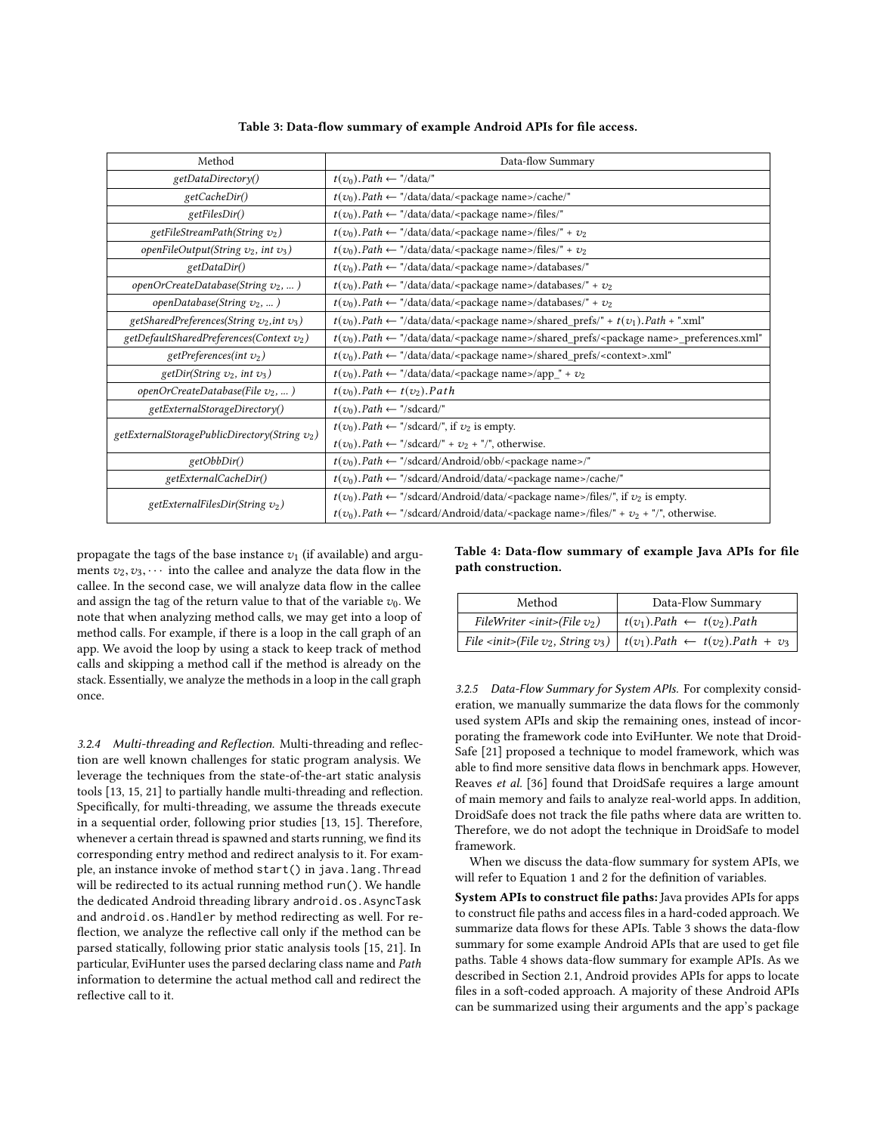<span id="page-5-0"></span>

| Method                                           | Data-flow Summary                                                                                                               |
|--------------------------------------------------|---------------------------------------------------------------------------------------------------------------------------------|
| getDataDirectory()                               | $t(v_0)$ . Path $\leftarrow$ "/data/"                                                                                           |
| getCacheDir()                                    | $t(v_0)$ . Path $\leftarrow$ "/data/data/ <package name="">/cache/"</package>                                                   |
| getFilesDir()                                    | $t(v_0)$ . Path $\leftarrow$ "/data/data/ <package name="">/files/"</package>                                                   |
| getFileStreamPath(String $v_2$ )                 | $t(v_0)$ . Path $\leftarrow$ "/data/data/ <package name="">/files/" + <math>v_2</math></package>                                |
| openFileOutput(String $v_2$ , int $v_3$ )        | $t(v_0)$ . Path $\leftarrow$ "/data/data/ <package name="">/files/" + <math>v_2</math></package>                                |
| getDataDir()                                     | $t(v_0)$ . Path $\leftarrow$ "/data/data/ <package name="">/databases/"</package>                                               |
| openOrCreateDatabase(String $v_2$ , )            | $t(v_0)$ . Path $\leftarrow$ "/data/data/ <package name="">/databases/" + <math>v_2</math></package>                            |
| openDatabase(String $v_2$ , )                    | $t(v_0)$ . Path $\leftarrow$ "/data/data/ <package name="">/databases/" + <math>v_2</math></package>                            |
| getSharedPreferences(String $v_2$ , int $v_3$ )  | $t(v_0)$ . Path $\leftarrow$ "/data/data/ <package name="">/shared_prefs/" + <math>t(v_1)</math>. Path + ".xml"</package>       |
| getDefaultSharedPreferences(Context $v_2$ )      | $t(v_0)$ . Path $\leftarrow$ "/data/data/ <package name="">/shared_prefs/<package name="">_preferences.xml"</package></package> |
| getPreferences(int $v_2$ )                       | $t(v_0)$ . Path $\leftarrow$ "/data/data/ <package name="">/shared_prefs/<context>.xml"</context></package>                     |
| getDir(String $v_2$ , int $v_3$ )                | $t(v_0)$ . Path $\leftarrow$ "/data/data/ <package name="">/app_" + <math>v_2</math></package>                                  |
| openOrCreateDatabase(File $v_2$ , )              | $t(v_0)$ . Path $\leftarrow t(v_2)$ . Path                                                                                      |
| getExternalStorageDirectory()                    | $t(v_0)$ . Path $\leftarrow$ "/sdcard/"                                                                                         |
| getExternalStoragePublicDirectory(String $v_2$ ) | $t(v_0)$ . Path $\leftarrow$ "/sdcard/", if $v_2$ is empty.                                                                     |
|                                                  | $t(v_0)$ . Path $\leftarrow$ "/sdcard/" + $v_2$ + "/", otherwise.                                                               |
| getObbDir()                                      | $t(v_0)$ . Path $\leftarrow$ "/sdcard/Android/obb/ <package name="">/"</package>                                                |
| getExternalCacheDir()                            | $t(v_0)$ . Path $\leftarrow$ "/sdcard/Android/data/ <package name="">/cache/"</package>                                         |
| getExternalFilesDir(String $v_2$ )               | $t(v_0)$ . Path $\leftarrow$ "/sdcard/Android/data/ <package name="">/files/", if <math>v_2</math> is empty.</package>          |
|                                                  | $t(v_0)$ . Path $\leftarrow$ "/sdcard/Android/data/ <package name="">/files/" + <math>v_2</math> + "/", otherwise.</package>    |

Table 3: Data-flow summary of example Android APIs for file access.

propagate the tags of the base instance  $v_1$  (if available) and arguments  $v_2, v_3, \cdots$  into the callee and analyze the data flow in the callee. In the second case, we will analyze data flow in the callee and assign the tag of the return value to that of the variable  $v_0$ . We note that when analyzing method calls, we may get into a loop of method calls. For example, if there is a loop in the call graph of an app. We avoid the loop by using a stack to keep track of method calls and skipping a method call if the method is already on the stack. Essentially, we analyze the methods in a loop in the call graph once.

3.2.4 Multi-threading and Reflection. Multi-threading and reflection are well known challenges for static program analysis. We leverage the techniques from the state-of-the-art static analysis tools [\[13,](#page-12-12) [15,](#page-12-14) [21\]](#page-12-11) to partially handle multi-threading and reflection. Specifically, for multi-threading, we assume the threads execute in a sequential order, following prior studies [\[13,](#page-12-12) [15\]](#page-12-14). Therefore, whenever a certain thread is spawned and starts running, we find its corresponding entry method and redirect analysis to it. For example, an instance invoke of method start() in java.lang.Thread will be redirected to its actual running method run(). We handle the dedicated Android threading library android.os.AsyncTask and android.os.Handler by method redirecting as well. For reflection, we analyze the reflective call only if the method can be parsed statically, following prior static analysis tools [\[15,](#page-12-14) [21\]](#page-12-11). In particular, EviHunter uses the parsed declaring class name and Path information to determine the actual method call and redirect the reflective call to it.

<span id="page-5-1"></span>Table 4: Data-flow summary of example Java APIs for file path construction.

| Method                                          | Data-Flow Summary                                                                                                                                      |  |  |
|-------------------------------------------------|--------------------------------------------------------------------------------------------------------------------------------------------------------|--|--|
| FileWriter <init>(File <math>v_2</math>)</init> | $t(v_1)$ . Path $\leftarrow t(v_2)$ . Path                                                                                                             |  |  |
|                                                 | File <init>(File <math>v_2</math>, String <math>v_3</math>)   <math>t(v_1)</math>. Path <math>\leftarrow t(v_2)</math>. Path + <math>v_3</math></init> |  |  |

3.2.5 Data-Flow Summary for System APIs. For complexity consideration, we manually summarize the data flows for the commonly used system APIs and skip the remaining ones, instead of incorporating the framework code into EviHunter. We note that Droid-Safe [\[21\]](#page-12-11) proposed a technique to model framework, which was able to find more sensitive data flows in benchmark apps. However, Reaves et al. [\[36\]](#page-12-21) found that DroidSafe requires a large amount of main memory and fails to analyze real-world apps. In addition, DroidSafe does not track the file paths where data are written to. Therefore, we do not adopt the technique in DroidSafe to model framework.

When we discuss the data-flow summary for system APIs, we will refer to Equation [1](#page-4-1) and [2](#page-4-2) for the definition of variables.

System APIs to construct file paths: Java provides APIs for apps to construct file paths and access files in a hard-coded approach. We summarize data flows for these APIs. Table [3](#page-5-0) shows the data-flow summary for some example Android APIs that are used to get file paths. Table [4](#page-5-1) shows data-flow summary for example APIs. As we described in Section [2.1,](#page-1-0) Android provides APIs for apps to locate files in a soft-coded approach. A majority of these Android APIs can be summarized using their arguments and the app's package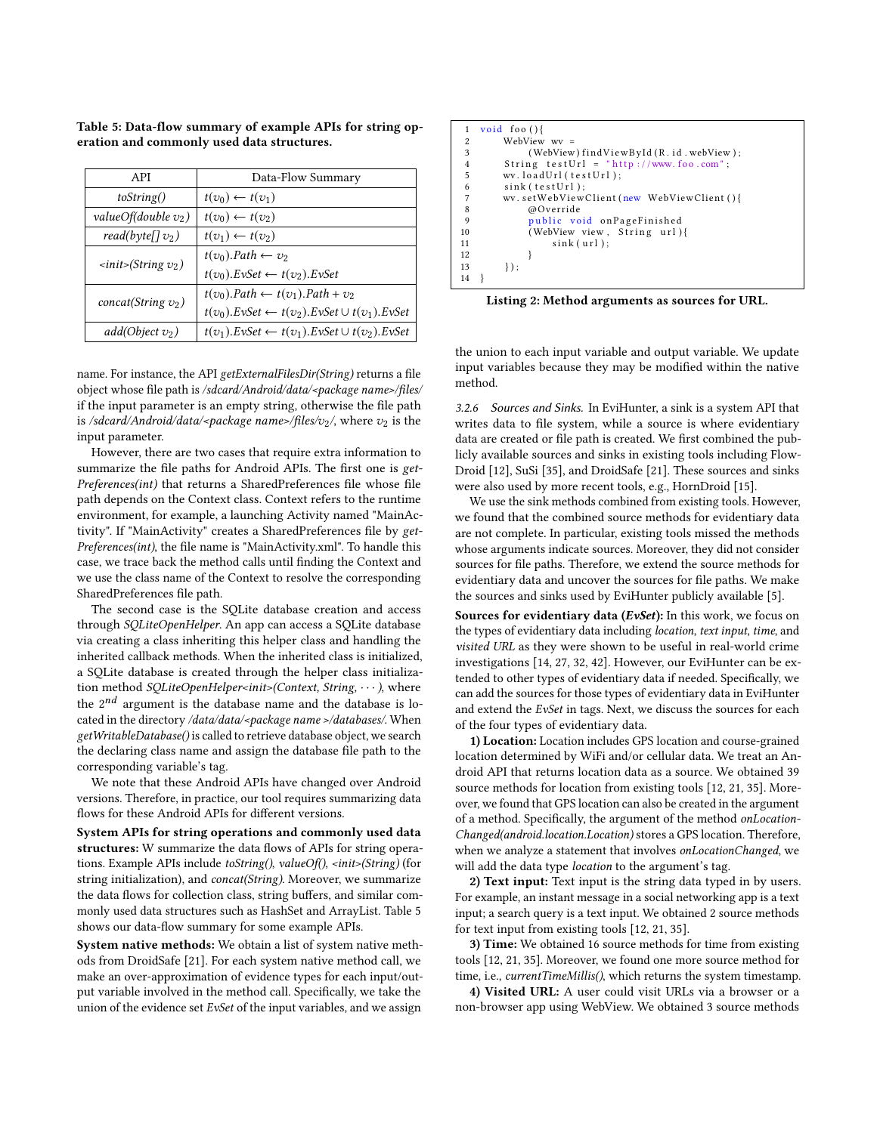| API                                           | Data-Flow Summary                                                  |  |  |
|-----------------------------------------------|--------------------------------------------------------------------|--|--|
| toString()                                    | $t(v_0) \leftarrow t(v_1)$                                         |  |  |
| valueOf(double $v_2$ )                        | $t(v_0) \leftarrow t(v_2)$                                         |  |  |
| read(byte[] $v_2$ )                           | $t(v_1) \leftarrow t(v_2)$                                         |  |  |
| $\langle$ init $\langle$ String $v_2 \rangle$ | $t(v_0)$ . Path $\leftarrow v_2$                                   |  |  |
|                                               | $t(v_0)$ . EvSet $\leftarrow t(v_2)$ . EvSet                       |  |  |
| concat(String $v_2$ )                         | $t(v_0)$ . Path $\leftarrow t(v_1)$ . Path + $v_2$                 |  |  |
|                                               | $t(v_0)$ . EvSet $\leftarrow t(v_2)$ . EvSet $\cup t(v_1)$ . EvSet |  |  |
| $add(Object v_2)$                             | $t(v_1)$ . EvSet $\leftarrow t(v_1)$ . EvSet $\cup t(v_2)$ . EvSet |  |  |

<span id="page-6-0"></span>Table 5: Data-flow summary of example APIs for string operation and commonly used data structures.

name. For instance, the API getExternalFilesDir(String) returns a file object whose file path is /sdcard/Android/data/<package name>/files/ if the input parameter is an empty string, otherwise the file path is /sdcard/Android/data/<package name>/files/v<sub>2</sub>/, where  $v_2$  is the input parameter.

However, there are two cases that require extra information to summarize the file paths for Android APIs. The first one is get-Preferences(int) that returns a SharedPreferences file whose file path depends on the Context class. Context refers to the runtime environment, for example, a launching Activity named "MainActivity". If "MainActivity" creates a SharedPreferences file by get-Preferences(int), the file name is "MainActivity.xml". To handle this case, we trace back the method calls until finding the Context and we use the class name of the Context to resolve the corresponding SharedPreferences file path.

The second case is the SQLite database creation and access through SQLiteOpenHelper. An app can access a SQLite database via creating a class inheriting this helper class and handling the inherited callback methods. When the inherited class is initialized, a SQLite database is created through the helper class initialization method SQLiteOpenHelper<init>(Context, String, ... ), where the  $2^{nd}$  argument is the database name and the database is located in the directory /data/data/<package name >/databases/. When getWritableDatabase() is called to retrieve database object, we search the declaring class name and assign the database file path to the corresponding variable's tag.

We note that these Android APIs have changed over Android versions. Therefore, in practice, our tool requires summarizing data flows for these Android APIs for different versions.

System APIs for string operations and commonly used data structures: W summarize the data flows of APIs for string operations. Example APIs include toString(), valueOf(), <init>(String) (for string initialization), and concat(String). Moreover, we summarize the data flows for collection class, string buffers, and similar commonly used data structures such as HashSet and ArrayList. Table [5](#page-6-0) shows our data-flow summary for some example APIs.

System native methods: We obtain a list of system native methods from DroidSafe [\[21\]](#page-12-11). For each system native method call, we make an over-approximation of evidence types for each input/output variable involved in the method call. Specifically, we take the union of the evidence set EvSet of the input variables, and we assign

```
\frac{1 \text{ void } \text{foo } () }{2 \text{ WebView}}2 WebView wr =<br>3 (WebView
                      ( WebView ) find View ById (R. id. webView );
 4 String test Url = "http://www.foo.com";<br>5 wv.load Url (test Url);
5 wv.loadUrl(testUrl);<br>
6 sink(testUrl);<br>
7 wv.setWebViewClient(<br>
8 @Override<br>
9 public void on Pa<br>
10 (WebView view, S<br>
11 sink(url);
              sink (testUr1):
              wv.setWebViewClient (new WebViewClient (){
                       8 @Override
                       public void on Page Finished
                       ( WebView view, String url)\{sink (url);\begin{array}{c} 12 \\ 13 \end{array}\{\} \} :
14 }
```
Listing 2: Method arguments as sources for URL.

the union to each input variable and output variable. We update input variables because they may be modified within the native method.

<span id="page-6-2"></span>3.2.6 Sources and Sinks. In EviHunter, a sink is a system API that writes data to file system, while a source is where evidentiary data are created or file path is created. We first combined the publicly available sources and sinks in existing tools including Flow-Droid [\[12\]](#page-11-5), SuSi [\[35\]](#page-12-19), and DroidSafe [\[21\]](#page-12-11). These sources and sinks were also used by more recent tools, e.g., HornDroid [\[15\]](#page-12-14).

We use the sink methods combined from existing tools. However, we found that the combined source methods for evidentiary data are not complete. In particular, existing tools missed the methods whose arguments indicate sources. Moreover, they did not consider sources for file paths. Therefore, we extend the source methods for evidentiary data and uncover the sources for file paths. We make the sources and sinks used by EviHunter publicly available [\[5\]](#page-11-8).

Sources for evidentiary data (EvSet): In this work, we focus on the types of evidentiary data including location, text input, time, and visited URL as they were shown to be useful in real-world crime investigations [\[14,](#page-12-3) [27,](#page-12-17) [32,](#page-12-18) [42\]](#page-12-2). However, our EviHunter can be extended to other types of evidentiary data if needed. Specifically, we can add the sources for those types of evidentiary data in EviHunter and extend the EvSet in tags. Next, we discuss the sources for each of the four types of evidentiary data.

1) Location: Location includes GPS location and course-grained location determined by WiFi and/or cellular data. We treat an Android API that returns location data as a source. We obtained 39 source methods for location from existing tools [\[12,](#page-11-5) [21,](#page-12-11) [35\]](#page-12-19). Moreover, we found that GPS location can also be created in the argument of a method. Specifically, the argument of the method onLocation-Changed(android.location.Location) stores a GPS location. Therefore, when we analyze a statement that involves onLocationChanged, we will add the data type *location* to the argument's tag.

2) Text input: Text input is the string data typed in by users. For example, an instant message in a social networking app is a text input; a search query is a text input. We obtained 2 source methods for text input from existing tools [\[12,](#page-11-5) [21,](#page-12-11) [35\]](#page-12-19).

3) Time: We obtained 16 source methods for time from existing tools [\[12,](#page-11-5) [21,](#page-12-11) [35\]](#page-12-19). Moreover, we found one more source method for time, i.e., *currentTimeMillis()*, which returns the system timestamp.

4) Visited URL: A user could visit URLs via a browser or a non-browser app using WebView. We obtained 3 source methods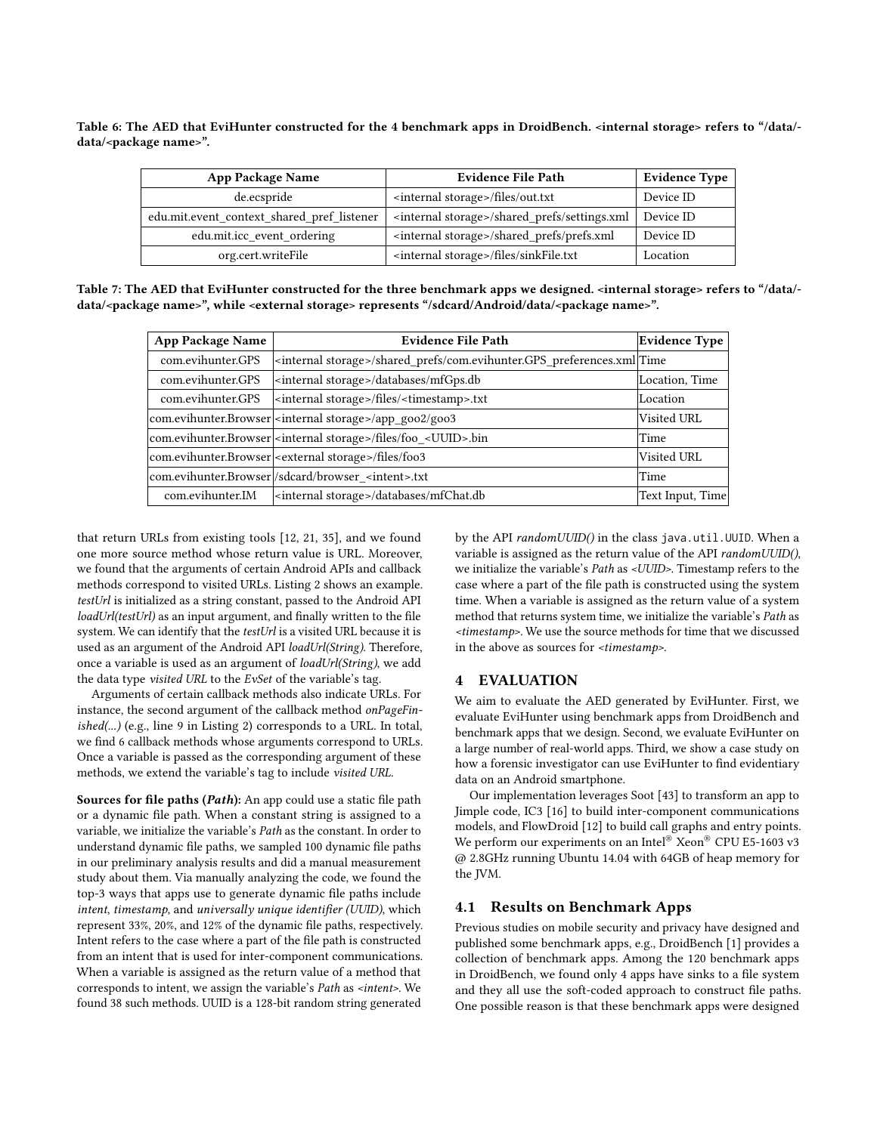<span id="page-7-0"></span>Table 6: The AED that EviHunter constructed for the 4 benchmark apps in DroidBench. <internal storage> refers to "/data/ data/<package name>".

| <b>App Package Name</b>                    | <b>Evidence File Path</b>                                  | <b>Evidence Type</b> |
|--------------------------------------------|------------------------------------------------------------|----------------------|
| de.ecspride                                | <internal storage="">/files/out.txt</internal>             | Device ID            |
| edu.mit.event_context_shared_pref_listener | <internal storage="">/shared prefs/settings.xml</internal> | Device ID            |
| edu.mit.icc event ordering                 | <internal storage="">/shared prefs/prefs.xml</internal>    | Device ID            |
| org.cert.writeFile                         | <internal storage="">/files/sinkFile.txt</internal>        | Location             |

<span id="page-7-1"></span>Table 7: The AED that EviHunter constructed for the three benchmark apps we designed. <internal storage> refers to "/data/data/<package name>", while <external storage> represents "/sdcard/Android/data/<package name>".

| <b>App Package Name</b> | <b>Evidence File Path</b>                                                           | Evidence Type    |
|-------------------------|-------------------------------------------------------------------------------------|------------------|
| com.evihunter.GPS       | <internal storage="">/shared prefs/com.evihunter.GPS preferences.xml</internal>     |                  |
| com.evihunter.GPS       | <internal storage="">/databases/mfGps.db</internal>                                 | Location, Time   |
| com.evihunter.GPS       | <internal storage="">/files/<timestamp>.txt</timestamp></internal>                  | Location         |
|                         | com.evihunter.Browser <internal storage="">/app_goo2/goo3</internal>                | Visited URL      |
|                         | com.evihunter.Browser  <internal storage="">/files/foo_<uuid>.bin</uuid></internal> | Time             |
|                         | com.evihunter.Browser   <external storage="">/files/foo3</external>                 | Visited URL      |
|                         | com.evihunter.Browser/sdcard/browser <intent>.txt</intent>                          | Time             |
| com.evihunter.IM        | <internal storage="">/databases/mfChat.db</internal>                                | Text Input, Time |

that return URLs from existing tools [\[12,](#page-11-5) [21,](#page-12-11) [35\]](#page-12-19), and we found one more source method whose return value is URL. Moreover, we found that the arguments of certain Android APIs and callback methods correspond to visited URLs. Listing [2](#page-6-1) shows an example. testUrl is initialized as a string constant, passed to the Android API loadUrl(testUrl) as an input argument, and finally written to the file system. We can identify that the testUrl is a visited URL because it is used as an argument of the Android API loadUrl(String). Therefore, once a variable is used as an argument of loadUrl(String), we add the data type visited URL to the EvSet of the variable's tag.

Arguments of certain callback methods also indicate URLs. For instance, the second argument of the callback method onPageFinished(...) (e.g., line 9 in Listing [2\)](#page-6-1) corresponds to a URL. In total, we find 6 callback methods whose arguments correspond to URLs. Once a variable is passed as the corresponding argument of these methods, we extend the variable's tag to include visited URL.

Sources for file paths (Path): An app could use a static file path or a dynamic file path. When a constant string is assigned to a variable, we initialize the variable's Path as the constant. In order to understand dynamic file paths, we sampled 100 dynamic file paths in our preliminary analysis results and did a manual measurement study about them. Via manually analyzing the code, we found the top-3 ways that apps use to generate dynamic file paths include intent, timestamp, and universally unique identifier (UUID), which represent 33%, 20%, and 12% of the dynamic file paths, respectively. Intent refers to the case where a part of the file path is constructed from an intent that is used for inter-component communications. When a variable is assigned as the return value of a method that corresponds to intent, we assign the variable's Path as <intent>. We found 38 such methods. UUID is a 128-bit random string generated

by the API randomUUID() in the class java.util.UUID. When a variable is assigned as the return value of the API randomUUID(), we initialize the variable's Path as <UUID>. Timestamp refers to the case where a part of the file path is constructed using the system time. When a variable is assigned as the return value of a system method that returns system time, we initialize the variable's Path as <timestamp>. We use the source methods for time that we discussed in the above as sources for <timestamp>.

## 4 EVALUATION

We aim to evaluate the AED generated by EviHunter. First, we evaluate EviHunter using benchmark apps from DroidBench and benchmark apps that we design. Second, we evaluate EviHunter on a large number of real-world apps. Third, we show a case study on how a forensic investigator can use EviHunter to find evidentiary data on an Android smartphone.

Our implementation leverages Soot [\[43\]](#page-12-20) to transform an app to Jimple code, IC3 [\[16\]](#page-12-15) to build inter-component communications models, and FlowDroid [\[12\]](#page-11-5) to build call graphs and entry points. We perform our experiments on an Intel® Xeon® CPU E5-1603 v3 @ 2.8GHz running Ubuntu 14.04 with 64GB of heap memory for the JVM.

## 4.1 Results on Benchmark Apps

Previous studies on mobile security and privacy have designed and published some benchmark apps, e.g., DroidBench [\[1\]](#page-11-6) provides a collection of benchmark apps. Among the 120 benchmark apps in DroidBench, we found only 4 apps have sinks to a file system and they all use the soft-coded approach to construct file paths. One possible reason is that these benchmark apps were designed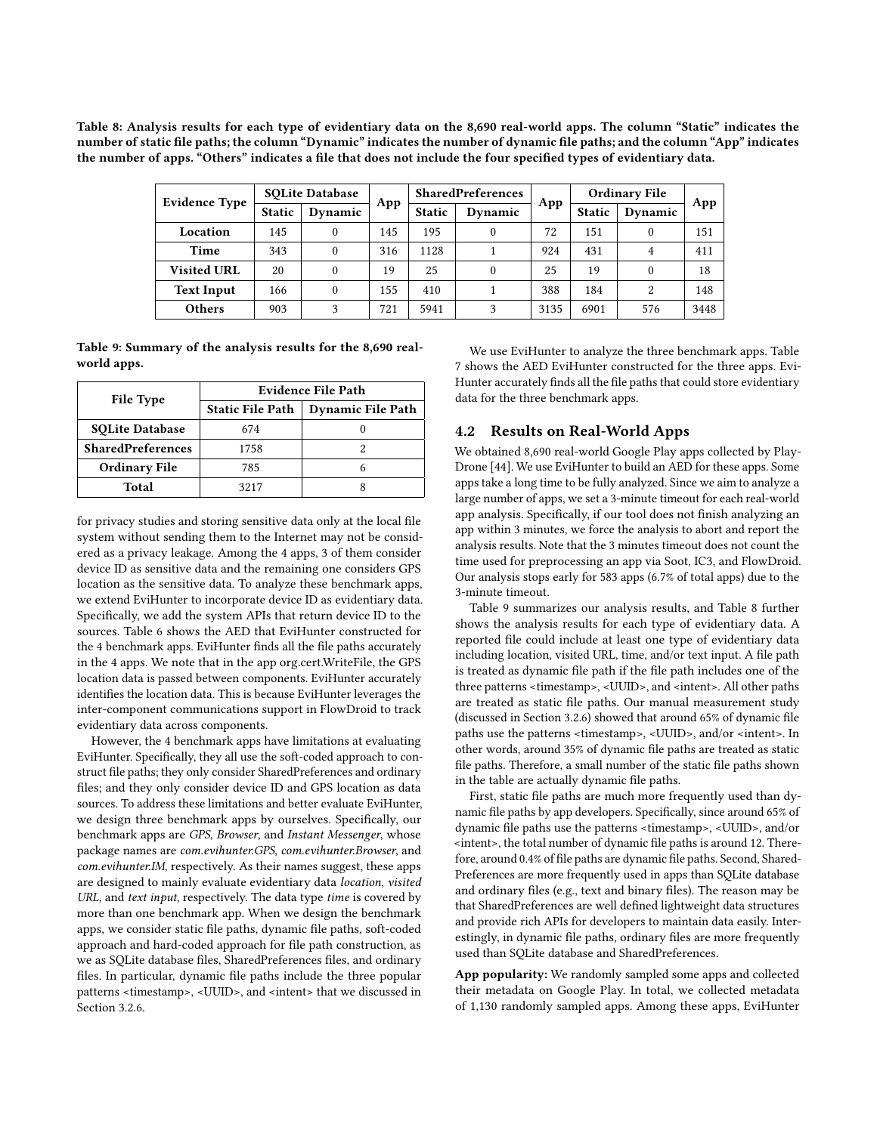<span id="page-8-1"></span>Table 8: Analysis results for each type of evidentiary data on the 8,690 real-world apps. The column "Static" indicates the number of static file paths; the column "Dynamic" indicates the number of dynamic file paths; and the column "App" indicates the number of apps. "Others" indicates a file that does not include the four specified types of evidentiary data.

|                      | <b>SOLite Database</b> |          |     | <b>SharedPreferences</b> |          |      | <b>Ordinary File</b> |               |      |
|----------------------|------------------------|----------|-----|--------------------------|----------|------|----------------------|---------------|------|
| <b>Evidence Type</b> | <b>Static</b>          | Dynamic  | App | <b>Static</b>            | Dynamic  | App  | <b>Static</b>        | Dynamic       | App  |
| Location             | 145                    | 0        | 145 | 195                      | 0        | 72   | 151                  | $\theta$      | 151  |
| Time                 | 343                    | $\theta$ | 316 | 1128                     |          | 924  | 431                  | 4             | 411  |
| <b>Visited URL</b>   | 20                     | $\theta$ | 19  | 25                       | $\theta$ | 25   | 19                   | $\theta$      | 18   |
| <b>Text Input</b>    | 166                    | $\theta$ | 155 | 410                      |          | 388  | 184                  | $\mathcal{L}$ | 148  |
| <b>Others</b>        | 903                    | 3        | 721 | 5941                     | 3        | 3135 | 6901                 | 576           | 3448 |

<span id="page-8-0"></span>Table 9: Summary of the analysis results for the 8,690 realworld apps.

| <b>File Type</b>         | Evidence File Path      |                          |  |  |
|--------------------------|-------------------------|--------------------------|--|--|
|                          | <b>Static File Path</b> | <b>Dynamic File Path</b> |  |  |
| <b>SOLite Database</b>   | 674                     |                          |  |  |
| <b>SharedPreferences</b> | 1758                    |                          |  |  |
| <b>Ordinary File</b>     | 785                     |                          |  |  |
| Total                    | 3217                    |                          |  |  |

for privacy studies and storing sensitive data only at the local file system without sending them to the Internet may not be considered as a privacy leakage. Among the 4 apps, 3 of them consider device ID as sensitive data and the remaining one considers GPS location as the sensitive data. To analyze these benchmark apps, we extend EviHunter to incorporate device ID as evidentiary data. Specifically, we add the system APIs that return device ID to the sources. Table [6](#page-7-0) shows the AED that EviHunter constructed for the 4 benchmark apps. EviHunter finds all the file paths accurately in the 4 apps. We note that in the app org.cert.WriteFile, the GPS location data is passed between components. EviHunter accurately identifies the location data. This is because EviHunter leverages the inter-component communications support in FlowDroid to track evidentiary data across components.

However, the 4 benchmark apps have limitations at evaluating EviHunter. Specifically, they all use the soft-coded approach to construct file paths; they only consider SharedPreferences and ordinary files; and they only consider device ID and GPS location as data sources. To address these limitations and better evaluate EviHunter, we design three benchmark apps by ourselves. Specifically, our benchmark apps are GPS, Browser, and Instant Messenger, whose package names are com.evihunter.GPS, com.evihunter.Browser, and com.evihunter.IM, respectively. As their names suggest, these apps are designed to mainly evaluate evidentiary data location, visited URL, and text input, respectively. The data type time is covered by more than one benchmark app. When we design the benchmark apps, we consider static file paths, dynamic file paths, soft-coded approach and hard-coded approach for file path construction, as we as SQLite database files, SharedPreferences files, and ordinary files. In particular, dynamic file paths include the three popular patterns <timestamp>, <UUID>, and <intent> that we discussed in Section [3.2.6.](#page-6-2)

We use EviHunter to analyze the three benchmark apps. Table [7](#page-7-1) shows the AED EviHunter constructed for the three apps. Evi-Hunter accurately finds all the file paths that could store evidentiary data for the three benchmark apps.

## 4.2 Results on Real-World Apps

We obtained 8,690 real-world Google Play apps collected by Play-Drone [\[44\]](#page-12-22). We use EviHunter to build an AED for these apps. Some apps take a long time to be fully analyzed. Since we aim to analyze a large number of apps, we set a 3-minute timeout for each real-world app analysis. Specifically, if our tool does not finish analyzing an app within 3 minutes, we force the analysis to abort and report the analysis results. Note that the 3 minutes timeout does not count the time used for preprocessing an app via Soot, IC3, and FlowDroid. Our analysis stops early for 583 apps (6.7% of total apps) due to the 3-minute timeout.

Table [9](#page-8-0) summarizes our analysis results, and Table [8](#page-8-1) further shows the analysis results for each type of evidentiary data. A reported file could include at least one type of evidentiary data including location, visited URL, time, and/or text input. A file path is treated as dynamic file path if the file path includes one of the three patterns <timestamp>, <UUID>, and <intent>. All other paths are treated as static file paths. Our manual measurement study (discussed in Section [3.2.6\)](#page-6-2) showed that around 65% of dynamic file paths use the patterns <timestamp>, <UUID>, and/or <intent>. In other words, around 35% of dynamic file paths are treated as static file paths. Therefore, a small number of the static file paths shown in the table are actually dynamic file paths.

First, static file paths are much more frequently used than dynamic file paths by app developers. Specifically, since around 65% of dynamic file paths use the patterns <timestamp>, <UUID>, and/or <intent>, the total number of dynamic file paths is around 12. Therefore, around 0.4% of file paths are dynamic file paths. Second, Shared-Preferences are more frequently used in apps than SQLite database and ordinary files (e.g., text and binary files). The reason may be that SharedPreferences are well defined lightweight data structures and provide rich APIs for developers to maintain data easily. Interestingly, in dynamic file paths, ordinary files are more frequently used than SQLite database and SharedPreferences.

App popularity: We randomly sampled some apps and collected their metadata on Google Play. In total, we collected metadata of 1,130 randomly sampled apps. Among these apps, EviHunter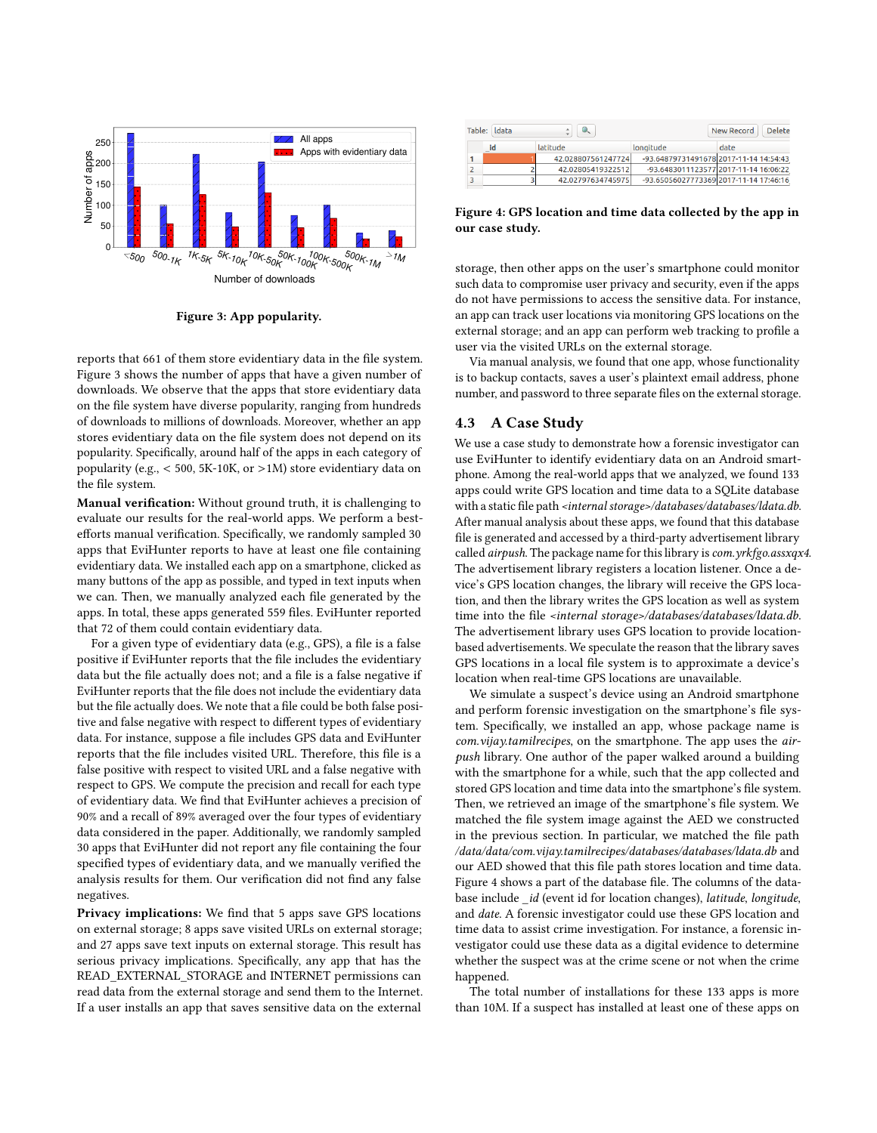<span id="page-9-0"></span>

Figure 3: App popularity.

reports that 661 of them store evidentiary data in the file system. Figure [3](#page-9-0) shows the number of apps that have a given number of downloads. We observe that the apps that store evidentiary data on the file system have diverse popularity, ranging from hundreds of downloads to millions of downloads. Moreover, whether an app stores evidentiary data on the file system does not depend on its popularity. Specifically, around half of the apps in each category of popularity (e.g.,  $<$  500, 5K-10K, or >1M) store evidentiary data on the file system.

Manual verification: Without ground truth, it is challenging to evaluate our results for the real-world apps. We perform a bestefforts manual verification. Specifically, we randomly sampled 30 apps that EviHunter reports to have at least one file containing evidentiary data. We installed each app on a smartphone, clicked as many buttons of the app as possible, and typed in text inputs when we can. Then, we manually analyzed each file generated by the apps. In total, these apps generated 559 files. EviHunter reported that 72 of them could contain evidentiary data.

For a given type of evidentiary data (e.g., GPS), a file is a false positive if EviHunter reports that the file includes the evidentiary data but the file actually does not; and a file is a false negative if EviHunter reports that the file does not include the evidentiary data but the file actually does. We note that a file could be both false positive and false negative with respect to different types of evidentiary data. For instance, suppose a file includes GPS data and EviHunter reports that the file includes visited URL. Therefore, this file is a false positive with respect to visited URL and a false negative with respect to GPS. We compute the precision and recall for each type of evidentiary data. We find that EviHunter achieves a precision of 90% and a recall of 89% averaged over the four types of evidentiary data considered in the paper. Additionally, we randomly sampled 30 apps that EviHunter did not report any file containing the four specified types of evidentiary data, and we manually verified the analysis results for them. Our verification did not find any false negatives.

Privacy implications: We find that 5 apps save GPS locations on external storage; 8 apps save visited URLs on external storage; and 27 apps save text inputs on external storage. This result has serious privacy implications. Specifically, any app that has the READ\_EXTERNAL\_STORAGE and INTERNET permissions can read data from the external storage and send them to the Internet. If a user installs an app that saves sensitive data on the external

<span id="page-9-1"></span>

| Table: Idata | New Record<br>Delete |    |                    |                                        |                                       |
|--------------|----------------------|----|--------------------|----------------------------------------|---------------------------------------|
|              |                      | id | latitude           | longitude                              | date                                  |
|              |                      |    | 42.028807561247724 | -93.64879731491678 2017-11-14 14:54:43 |                                       |
|              | 2                    |    | 42.02805419322512  |                                        | -93.6483011123577 2017-11-14 16:06:22 |
|              |                      |    | 42.02797634745975  | -93.65056027773369 2017-11-14 17:46:16 |                                       |

Figure 4: GPS location and time data collected by the app in our case study.

storage, then other apps on the user's smartphone could monitor such data to compromise user privacy and security, even if the apps do not have permissions to access the sensitive data. For instance, an app can track user locations via monitoring GPS locations on the external storage; and an app can perform web tracking to profile a user via the visited URLs on the external storage.

Via manual analysis, we found that one app, whose functionality is to backup contacts, saves a user's plaintext email address, phone number, and password to three separate files on the external storage.

#### 4.3 A Case Study

We use a case study to demonstrate how a forensic investigator can use EviHunter to identify evidentiary data on an Android smartphone. Among the real-world apps that we analyzed, we found 133 apps could write GPS location and time data to a SQLite database with a static file path <internal storage>/databases/databases/ldata.db. After manual analysis about these apps, we found that this database file is generated and accessed by a third-party advertisement library called airpush. The package name for this library is com.yrkfgo.assxqx4. The advertisement library registers a location listener. Once a device's GPS location changes, the library will receive the GPS location, and then the library writes the GPS location as well as system time into the file <internal storage>/databases/databases/ldata.db. The advertisement library uses GPS location to provide locationbased advertisements. We speculate the reason that the library saves GPS locations in a local file system is to approximate a device's location when real-time GPS locations are unavailable.

We simulate a suspect's device using an Android smartphone and perform forensic investigation on the smartphone's file system. Specifically, we installed an app, whose package name is com.vijay.tamilrecipes, on the smartphone. The app uses the airpush library. One author of the paper walked around a building with the smartphone for a while, such that the app collected and stored GPS location and time data into the smartphone's file system. Then, we retrieved an image of the smartphone's file system. We matched the file system image against the AED we constructed in the previous section. In particular, we matched the file path /data/data/com.vijay.tamilrecipes/databases/databases/ldata.db and our AED showed that this file path stores location and time data. Figure [4](#page-9-1) shows a part of the database file. The columns of the database include \_id (event id for location changes), latitude, longitude, and date. A forensic investigator could use these GPS location and time data to assist crime investigation. For instance, a forensic investigator could use these data as a digital evidence to determine whether the suspect was at the crime scene or not when the crime happened.

The total number of installations for these 133 apps is more than 10M. If a suspect has installed at least one of these apps on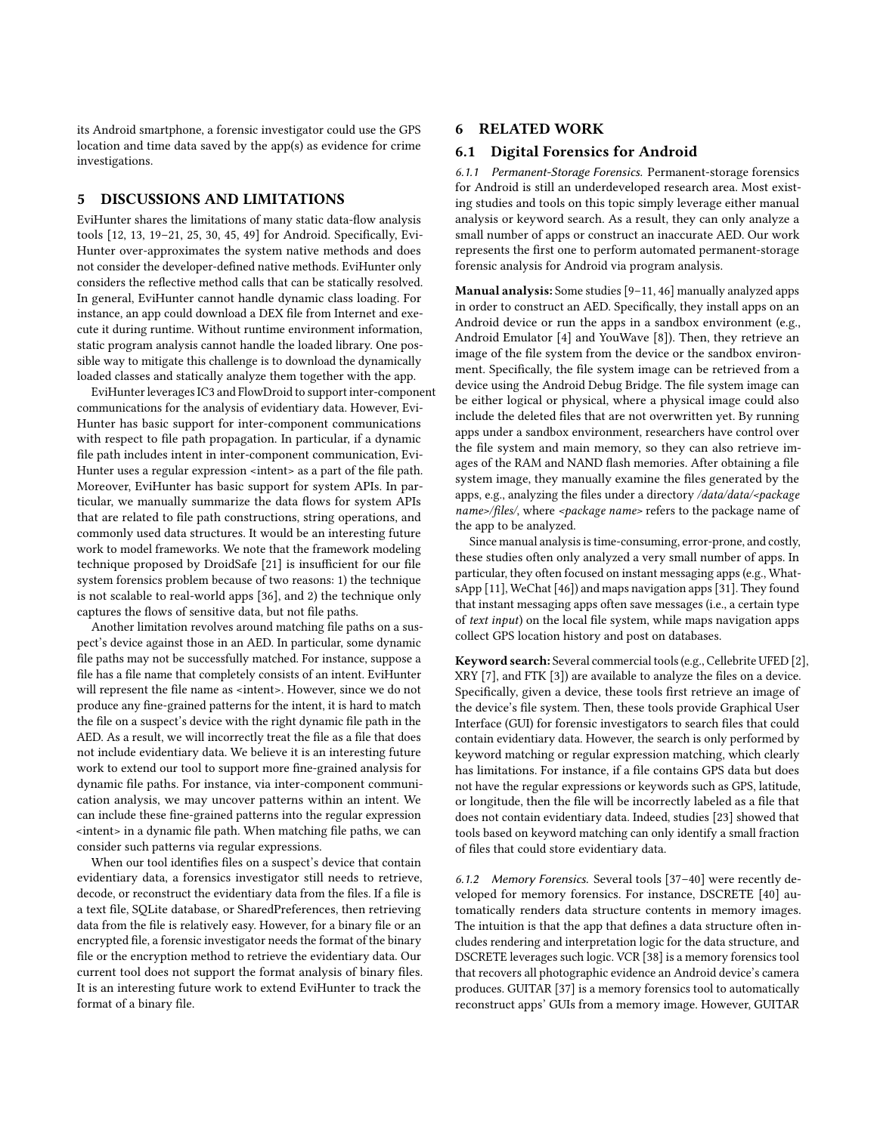its Android smartphone, a forensic investigator could use the GPS location and time data saved by the app(s) as evidence for crime investigations.

## 5 DISCUSSIONS AND LIMITATIONS

EviHunter shares the limitations of many static data-flow analysis tools [\[12,](#page-11-5) [13,](#page-12-12) [19–](#page-12-23)[21,](#page-12-11) [25,](#page-12-24) [30,](#page-12-9) [45,](#page-12-10) [49\]](#page-12-25) for Android. Specifically, Evi-Hunter over-approximates the system native methods and does not consider the developer-defined native methods. EviHunter only considers the reflective method calls that can be statically resolved. In general, EviHunter cannot handle dynamic class loading. For instance, an app could download a DEX file from Internet and execute it during runtime. Without runtime environment information, static program analysis cannot handle the loaded library. One possible way to mitigate this challenge is to download the dynamically loaded classes and statically analyze them together with the app.

EviHunter leverages IC3 and FlowDroid to support inter-component communications for the analysis of evidentiary data. However, Evi-Hunter has basic support for inter-component communications with respect to file path propagation. In particular, if a dynamic file path includes intent in inter-component communication, Evi-Hunter uses a regular expression <intent> as a part of the file path. Moreover, EviHunter has basic support for system APIs. In particular, we manually summarize the data flows for system APIs that are related to file path constructions, string operations, and commonly used data structures. It would be an interesting future work to model frameworks. We note that the framework modeling technique proposed by DroidSafe [\[21\]](#page-12-11) is insufficient for our file system forensics problem because of two reasons: 1) the technique is not scalable to real-world apps [\[36\]](#page-12-21), and 2) the technique only captures the flows of sensitive data, but not file paths.

Another limitation revolves around matching file paths on a suspect's device against those in an AED. In particular, some dynamic file paths may not be successfully matched. For instance, suppose a file has a file name that completely consists of an intent. EviHunter will represent the file name as <intent>. However, since we do not produce any fine-grained patterns for the intent, it is hard to match the file on a suspect's device with the right dynamic file path in the AED. As a result, we will incorrectly treat the file as a file that does not include evidentiary data. We believe it is an interesting future work to extend our tool to support more fine-grained analysis for dynamic file paths. For instance, via inter-component communication analysis, we may uncover patterns within an intent. We can include these fine-grained patterns into the regular expression <intent> in a dynamic file path. When matching file paths, we can consider such patterns via regular expressions.

When our tool identifies files on a suspect's device that contain evidentiary data, a forensics investigator still needs to retrieve, decode, or reconstruct the evidentiary data from the files. If a file is a text file, SQLite database, or SharedPreferences, then retrieving data from the file is relatively easy. However, for a binary file or an encrypted file, a forensic investigator needs the format of the binary file or the encryption method to retrieve the evidentiary data. Our current tool does not support the format analysis of binary files. It is an interesting future work to extend EviHunter to track the format of a binary file.

## 6 RELATED WORK

#### 6.1 Digital Forensics for Android

6.1.1 Permanent-Storage Forensics. Permanent-storage forensics for Android is still an underdeveloped research area. Most existing studies and tools on this topic simply leverage either manual analysis or keyword search. As a result, they can only analyze a small number of apps or construct an inaccurate AED. Our work represents the first one to perform automated permanent-storage forensic analysis for Android via program analysis.

Manual analysis: Some studies [\[9–](#page-11-0)[11,](#page-11-1) [46\]](#page-12-6) manually analyzed apps in order to construct an AED. Specifically, they install apps on an Android device or run the apps in a sandbox environment (e.g., Android Emulator [\[4\]](#page-11-9) and YouWave [\[8\]](#page-11-10)). Then, they retrieve an image of the file system from the device or the sandbox environment. Specifically, the file system image can be retrieved from a device using the Android Debug Bridge. The file system image can be either logical or physical, where a physical image could also include the deleted files that are not overwritten yet. By running apps under a sandbox environment, researchers have control over the file system and main memory, so they can also retrieve images of the RAM and NAND flash memories. After obtaining a file system image, they manually examine the files generated by the apps, e.g., analyzing the files under a directory /data/data/<package name>/files/, where <package name> refers to the package name of the app to be analyzed.

Since manual analysis is time-consuming, error-prone, and costly, these studies often only analyzed a very small number of apps. In particular, they often focused on instant messaging apps (e.g., WhatsApp [\[11\]](#page-11-1), WeChat [\[46\]](#page-12-6)) and maps navigation apps [\[31\]](#page-12-26). They found that instant messaging apps often save messages (i.e., a certain type of text input) on the local file system, while maps navigation apps collect GPS location history and post on databases.

Keyword search: Several commercial tools (e.g., Cellebrite UFED [\[2\]](#page-11-2), XRY [\[7\]](#page-11-4), and FTK [\[3\]](#page-11-3)) are available to analyze the files on a device. Specifically, given a device, these tools first retrieve an image of the device's file system. Then, these tools provide Graphical User Interface (GUI) for forensic investigators to search files that could contain evidentiary data. However, the search is only performed by keyword matching or regular expression matching, which clearly has limitations. For instance, if a file contains GPS data but does not have the regular expressions or keywords such as GPS, latitude, or longitude, then the file will be incorrectly labeled as a file that does not contain evidentiary data. Indeed, studies [\[23\]](#page-12-8) showed that tools based on keyword matching can only identify a small fraction of files that could store evidentiary data.

6.1.2 Memory Forensics. Several tools [\[37–](#page-12-4)[40\]](#page-12-5) were recently developed for memory forensics. For instance, DSCRETE [\[40\]](#page-12-5) automatically renders data structure contents in memory images. The intuition is that the app that defines a data structure often includes rendering and interpretation logic for the data structure, and DSCRETE leverages such logic. VCR [\[38\]](#page-12-27) is a memory forensics tool that recovers all photographic evidence an Android device's camera produces. GUITAR [\[37\]](#page-12-4) is a memory forensics tool to automatically reconstruct apps' GUIs from a memory image. However, GUITAR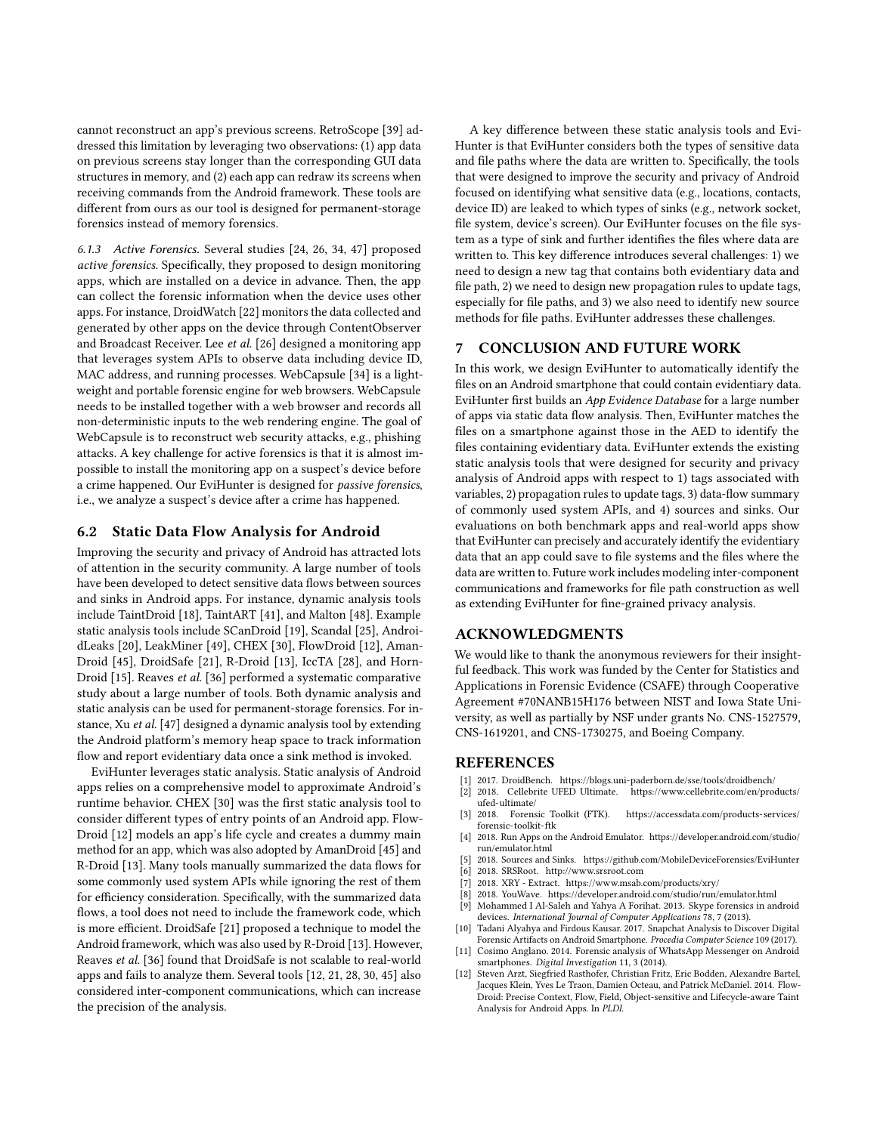cannot reconstruct an app's previous screens. RetroScope [\[39\]](#page-12-28) addressed this limitation by leveraging two observations: (1) app data on previous screens stay longer than the corresponding GUI data structures in memory, and (2) each app can redraw its screens when receiving commands from the Android framework. These tools are different from ours as our tool is designed for permanent-storage forensics instead of memory forensics.

6.1.3 Active Forensics. Several studies [\[24,](#page-12-29) [26,](#page-12-30) [34,](#page-12-31) [47\]](#page-12-32) proposed active forensics. Specifically, they proposed to design monitoring apps, which are installed on a device in advance. Then, the app can collect the forensic information when the device uses other apps. For instance, DroidWatch [\[22\]](#page-12-33) monitors the data collected and generated by other apps on the device through ContentObserver and Broadcast Receiver. Lee et al. [\[26\]](#page-12-30) designed a monitoring app that leverages system APIs to observe data including device ID, MAC address, and running processes. WebCapsule [\[34\]](#page-12-31) is a lightweight and portable forensic engine for web browsers. WebCapsule needs to be installed together with a web browser and records all non-deterministic inputs to the web rendering engine. The goal of WebCapsule is to reconstruct web security attacks, e.g., phishing attacks. A key challenge for active forensics is that it is almost impossible to install the monitoring app on a suspect's device before a crime happened. Our EviHunter is designed for passive forensics, i.e., we analyze a suspect's device after a crime has happened.

## 6.2 Static Data Flow Analysis for Android

Improving the security and privacy of Android has attracted lots of attention in the security community. A large number of tools have been developed to detect sensitive data flows between sources and sinks in Android apps. For instance, dynamic analysis tools include TaintDroid [\[18\]](#page-12-34), TaintART [\[41\]](#page-12-35), and Malton [\[48\]](#page-12-36). Example static analysis tools include SCanDroid [\[19\]](#page-12-23), Scandal [\[25\]](#page-12-24), AndroidLeaks [\[20\]](#page-12-37), LeakMiner [\[49\]](#page-12-25), CHEX [\[30\]](#page-12-9), FlowDroid [\[12\]](#page-11-5), Aman-Droid [\[45\]](#page-12-10), DroidSafe [\[21\]](#page-12-11), R-Droid [\[13\]](#page-12-12), IccTA [\[28\]](#page-12-13), and Horn-Droid [\[15\]](#page-12-14). Reaves et al. [\[36\]](#page-12-21) performed a systematic comparative study about a large number of tools. Both dynamic analysis and static analysis can be used for permanent-storage forensics. For instance, Xu et al. [\[47\]](#page-12-32) designed a dynamic analysis tool by extending the Android platform's memory heap space to track information flow and report evidentiary data once a sink method is invoked.

EviHunter leverages static analysis. Static analysis of Android apps relies on a comprehensive model to approximate Android's runtime behavior. CHEX [\[30\]](#page-12-9) was the first static analysis tool to consider different types of entry points of an Android app. Flow-Droid [\[12\]](#page-11-5) models an app's life cycle and creates a dummy main method for an app, which was also adopted by AmanDroid [\[45\]](#page-12-10) and R-Droid [\[13\]](#page-12-12). Many tools manually summarized the data flows for some commonly used system APIs while ignoring the rest of them for efficiency consideration. Specifically, with the summarized data flows, a tool does not need to include the framework code, which is more efficient. DroidSafe [\[21\]](#page-12-11) proposed a technique to model the Android framework, which was also used by R-Droid [\[13\]](#page-12-12). However, Reaves et al. [\[36\]](#page-12-21) found that DroidSafe is not scalable to real-world apps and fails to analyze them. Several tools [\[12,](#page-11-5) [21,](#page-12-11) [28,](#page-12-13) [30,](#page-12-9) [45\]](#page-12-10) also considered inter-component communications, which can increase the precision of the analysis.

A key difference between these static analysis tools and Evi-Hunter is that EviHunter considers both the types of sensitive data and file paths where the data are written to. Specifically, the tools that were designed to improve the security and privacy of Android focused on identifying what sensitive data (e.g., locations, contacts, device ID) are leaked to which types of sinks (e.g., network socket, file system, device's screen). Our EviHunter focuses on the file system as a type of sink and further identifies the files where data are written to. This key difference introduces several challenges: 1) we need to design a new tag that contains both evidentiary data and file path, 2) we need to design new propagation rules to update tags, especially for file paths, and 3) we also need to identify new source methods for file paths. EviHunter addresses these challenges.

## 7 CONCLUSION AND FUTURE WORK

In this work, we design EviHunter to automatically identify the files on an Android smartphone that could contain evidentiary data. EviHunter first builds an App Evidence Database for a large number of apps via static data flow analysis. Then, EviHunter matches the files on a smartphone against those in the AED to identify the files containing evidentiary data. EviHunter extends the existing static analysis tools that were designed for security and privacy analysis of Android apps with respect to 1) tags associated with variables, 2) propagation rules to update tags, 3) data-flow summary of commonly used system APIs, and 4) sources and sinks. Our evaluations on both benchmark apps and real-world apps show that EviHunter can precisely and accurately identify the evidentiary data that an app could save to file systems and the files where the data are written to. Future work includes modeling inter-component communications and frameworks for file path construction as well as extending EviHunter for fine-grained privacy analysis.

### ACKNOWLEDGMENTS

We would like to thank the anonymous reviewers for their insightful feedback. This work was funded by the Center for Statistics and Applications in Forensic Evidence (CSAFE) through Cooperative Agreement #70NANB15H176 between NIST and Iowa State University, as well as partially by NSF under grants No. CNS-1527579, CNS-1619201, and CNS-1730275, and Boeing Company.

#### REFERENCES

- <span id="page-11-6"></span>[1] 2017. DroidBench.<https://blogs.uni-paderborn.de/sse/tools/droidbench/>
- <span id="page-11-2"></span>[2] 2018. Cellebrite UFED Ultimate. [https://www.cellebrite.com/en/products/](https://www.cellebrite.com/en/products/ufed-ultimate/) [ufed-ultimate/](https://www.cellebrite.com/en/products/ufed-ultimate/)
- <span id="page-11-3"></span>[3] 2018. Forensic Toolkit (FTK). [https://accessdata.com/products-services/](https://accessdata.com/products-services/forensic-toolkit-ftk) [forensic-toolkit-ftk](https://accessdata.com/products-services/forensic-toolkit-ftk)
- <span id="page-11-9"></span>[4] 2018. Run Apps on the Android Emulator. [https://developer.android.com/studio/](https://developer.android.com/studio/run/emulator.html) [run/emulator.html](https://developer.android.com/studio/run/emulator.html)
- <span id="page-11-8"></span>[5] 2018. Sources and Sinks.<https://github.com/MobileDeviceForensics/EviHunter>
- <span id="page-11-7"></span>[6] 2018. SRSRoot.<http://www.srsroot.com>
- <span id="page-11-10"></span><span id="page-11-4"></span>[7] 2018. XRY - Extract.<https://www.msab.com/products/xry/> [8] 2018. YouWave.<https://developer.android.com/studio/run/emulator.html>
- <span id="page-11-0"></span>[9] Mohammed I Al-Saleh and Yahya A Forihat. 2013. Skype forensics in android
- devices. International Journal of Computer Applications 78, 7 (2013). [10] Tadani Alyahya and Firdous Kausar. 2017. Snapchat Analysis to Discover Digital Forensic Artifacts on Android Smartphone. Procedia Computer Science 109 (2017).
- <span id="page-11-1"></span>[11] Cosimo Anglano. 2014. Forensic analysis of WhatsApp Messenger on Android smartphones. Digital Investigation 11, 3 (2014).
- <span id="page-11-5"></span>[12] Steven Arzt, Siegfried Rasthofer, Christian Fritz, Eric Bodden, Alexandre Bartel, Jacques Klein, Yves Le Traon, Damien Octeau, and Patrick McDaniel. 2014. Flow-Droid: Precise Context, Flow, Field, Object-sensitive and Lifecycle-aware Taint Analysis for Android Apps. In PLDI.